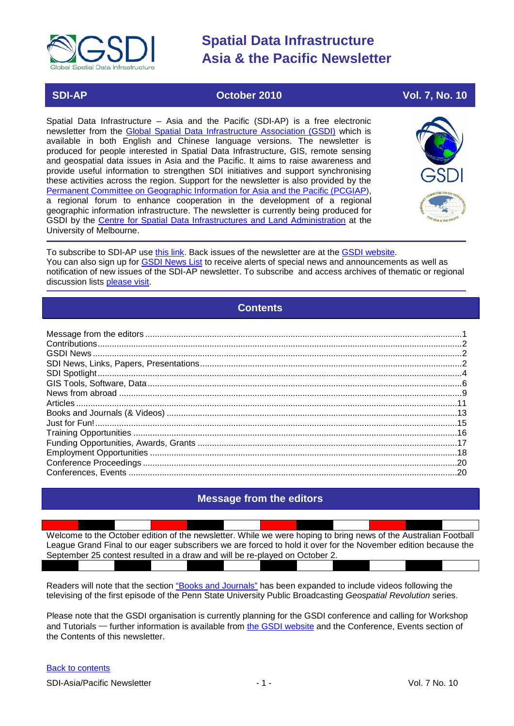

# **SDI-AP October 2010 Vol. 7, No. 10**

Spatial Data Infrastructure – Asia and the Pacific (SDI-AP) is a free electronic newsletter from the [Global Spatial Data Infrastructure Association \(GSDI\)](http://www.gsdi.org/) which is available in both English and Chinese language versions. The newsletter is produced for people interested in Spatial Data Infrastructure, GIS, remote sensing and geospatial data issues in Asia and the Pacific. It aims to raise awareness and provide useful information to strengthen SDI initiatives and support synchronising these activities across the region. Support for the newsletter is also provided by the [Permanent Committee on Geographic Information for Asia](http://www.pcgiap.org/) and the Pacific (PCGIAP), a regional forum to enhance cooperation in the development of a regional geographic information infrastructure. The newsletter is currently being produced for GSDI by the Centre for [Spatial Data Infrastructures and Land Administration](http://www.csdila.unimelb.edu.au/) at the University of Melbourne.



To subscribe to SDI-AP use [this link.](http://www.gsdi.org/newslist/gsdisubscribe.asp) Back issues of the newsletter are at the [GSDI website.](http://www.gsdi.org/newsletters.asp) You can also sign up for **GSDI News List** to receive alerts of special news and announcements as well as notification of new issues of the SDI-AP newsletter. To subscribe and access archives of thematic or regional discussion lists [please visit.](http://www.gsdi.org/discussionlists.asp)

# **Contents**

<span id="page-0-0"></span>

# **Message from the editors**

<span id="page-0-1"></span>Welcome to the October edition of the newsletter. While we were hoping to bring news of the Australian Football League Grand Final to our eager subscribers we are forced to hold it over for the November edition because the September 25 contest resulted in a draw and will be re-played on October 2.

Readers will note that the section "Books and Journals" has been expanded to include videos following the televising of the first episode of the Penn State University Public Broadcasting *Geospatial Revolution* series.

Please note that the GSDI organisation is currently planning for the GSDI conference and calling for Workshop and Tutorials — further information is available from [the GSDI website](http://www.gsdi.org/node/246) and the Conference, Events section of the Contents of this newsletter.

#### [Back to contents](#page-0-0)

SDI-Asia/Pacific Newsletter  $\overline{1}$  - 1 -  $\overline{2}$  - 1 -  $\overline{2}$  Vol. 7 No. 10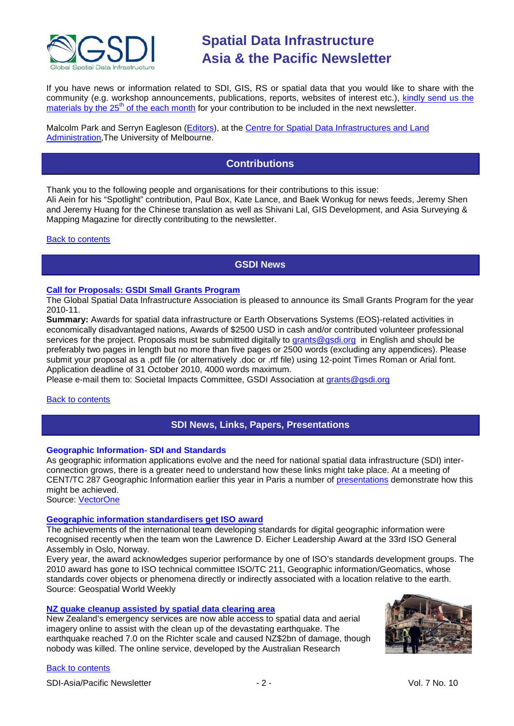

If you have news or information related to SDI, GIS, RS or spatial data that you would like to share with the community (e.g. workshop announcements, publications, reports, websites of interest etc.), [kindly send us](mailto:sdi-ap@gsdi.org) the [materials by the 25](mailto:sdi-ap@gsdi.org)<sup>th</sup> of the each month for your contribution to be included in the next newsletter.

<span id="page-1-0"></span>Malcolm Park and Serryn Eagleson [\(Editors\)](mailto:Editor.SDIAP@gmail.com), at the Centre for Spatial Data Infrastructures and Land [Administration,](http://www.csdila.unimelb.edu.au/) The University of Melbourne.

# **Contributions**

Thank you to the following people and organisations for their contributions to this issue:

Ali Aein for his "Spotlight" contribution, Paul Box, Kate Lance, and Baek Wonkug for news feeds, Jeremy Shen and Jeremy Huang for the Chinese translation as well as Shivani Lal, GIS Development, and Asia Surveying & Mapping Magazine for directly contributing to the newsletter.

### <span id="page-1-1"></span>[Back to contents](#page-0-0)

# **GSDI News**

# **[Call for Proposals: GSDI Small Grants Program](http://www.gsdi.org/node/283)**

The Global Spatial Data Infrastructure Association is pleased to announce its Small Grants Program for the year 2010-11.

**Summary:** Awards for spatial data infrastructure or Earth Observations Systems (EOS)-related activities in economically disadvantaged nations, Awards of \$2500 USD in cash and/or contributed volunteer professional services for the project. Proposals must be submitted digitally to [grants@gsdi.org](mailto:grants@gsdi.org) in English and should be preferably two pages in length but no more than five pages or 2500 words (excluding any appendices). Please submit your proposal as a .pdf file (or alternatively .doc or .rtf file) using 12-point Times Roman or Arial font. Application deadline of 31 October 2010, 4000 words maximum.

Please e-mail them to: Societal Impacts Committee, GSDI Association at [grants@gsdi.org](mailto:grants@gsdi.org)

#### <span id="page-1-2"></span>[Back to contents](#page-0-0)

# **SDI News, Links, Papers, Presentations**

#### **Geographic Information- SDI and Standards**

As geographic information applications evolve and the need for national spatial data infrastructure (SDI) interconnection grows, there is a greater need to understand how these links might take place. At a meeting of CENT/TC 287 Geographic Information earlier this year in Paris a number of [presentations](http://www.gistandards.eu/MWS/index.php?option=com_content&view=article&id=55&Itemid=62) demonstrate how this might be achieved.

Source: [VectorOne](http://www.vector1media.com/vectorone/?p=6120)

#### **[Geographic information standardisers get ISO award](http://www.geospatialworld.net/index.php?option=com_content&view=article&id=18470%3Ageographic-information-standardisers-get-iso-award&catid=81%3Amiscellaneous-award&Itemid=1)**

The achievements of the international team developing standards for digital geographic information were recognised recently when the team won the Lawrence D. Eicher Leadership Award at the 33rd ISO General Assembly in Oslo, Norway.

Every year, the award acknowledges superior performance by one of ISO's standards development groups. The 2010 award has gone to ISO technical committee ISO/TC 211, Geographic information/Geomatics, whose standards cover objects or phenomena directly or indirectly associated with a location relative to the earth. Source: Geospatial World Weekly

## **[NZ quake cleanup assisted by spatial data clearing area](http://www.spatialsource.com.au/2010/09/14/article/NZ-quake-cleanup-assisted-by-spatial-data-clearing-area/OGUWNMKNEY)**

New Zealand's emergency services are now able access to spatial data and aerial imagery online to assist with the clean up of the devastating earthquake. The earthquake reached 7.0 on the Richter scale and caused NZ\$2bn of damage, though nobody was killed. The online service, developed by the Australian Research

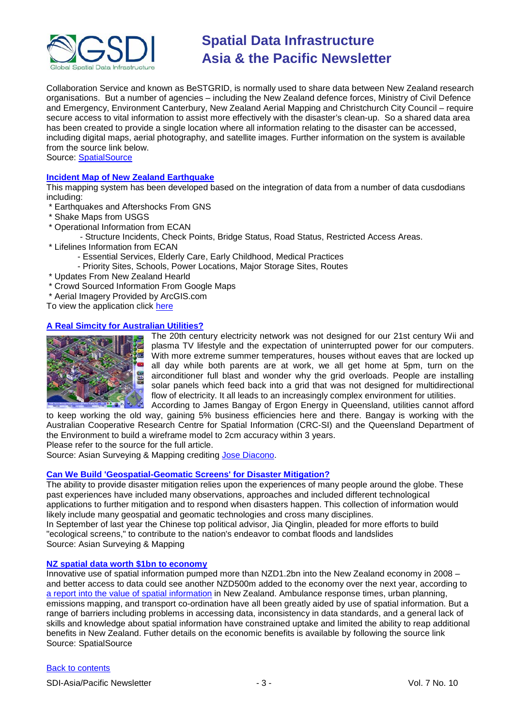

Collaboration Service and known as BeSTGRID, is normally used to share data between New Zealand research organisations. But a number of agencies – including the New Zealand defence forces, Ministry of Civil Defence and Emergency, Environment Canterbury, New Zealand Aerial Mapping and Christchurch City Council – require secure access to vital information to assist more effectively with the disaster's clean-up. So a shared data area has been created to provide a single location where all information relating to the disaster can be accessed, including digital maps, aerial photography, and satellite images. Further information on the system is available from the source link below.

Source: [SpatialSource](http://www.spatialsource.com.au/2010/09/14/article/NZ-quake-cleanup-assisted-by-spatial-data-clearing-area/OGUWNMKNEY)

# **[Incident Map of New Zealand Earthquake](http://s1.demos.eaglegis.co.nz/Flex/earthquake-christchurch/)**

This mapping system has been developed based on the integration of data from a number of data cusdodians including:

- \* Earthquakes and Aftershocks From GNS
- \* Shake Maps from USGS
- \* Operational Information from ECAN
	- Structure Incidents, Check Points, Bridge Status, Road Status, Restricted Access Areas.
- \* Lifelines Information from ECAN
	- Essential Services, Elderly Care, Early Childhood, Medical Practices
	- Priority Sites, Schools, Power Locations, Major Storage Sites, Routes
- \* Updates From New Zealand Hearld
- \* Crowd Sourced Information From Google Maps
- \* Aerial Imagery Provided by ArcGIS.com

To view the application click [here](http://s1.demos.eaglegis.co.nz/Flex/earthquake-christchurch/)

### **[A Real Simcity for Australian Utilities?](http://asmmag.com/features/a-real-simcity-for-australian-utilities-)**



The 20th century electricity network was not designed for our 21st century Wii and plasma TV lifestyle and the expectation of uninterrupted power for our computers. With more extreme summer temperatures, houses without eaves that are locked up all day while both parents are at work, we all get home at 5pm, turn on the airconditioner full blast and wonder why the grid overloads. People are installing solar panels which feed back into a grid that was not designed for multidirectional flow of electricity. It all leads to an increasingly complex environment for utilities. According to James Bangay of Ergon Energy in Queensland, utilities cannot afford

to keep working the old way, gaining 5% business efficiencies here and there. Bangay is working with the Australian Cooperative Research Centre for Spatial Information (CRC-SI) and the Queensland Department of the Environment to build a wireframe model to 2cm accuracy within 3 years.

Please refer to the source for the full article.

Source: Asian Surveying & Mapping crediting [Jose Diacono.](http://www.communica.com.au/)

#### **[Can We Build 'Geospatial-Geomatic Screens' for Disaster Mitigation?](http://asmmag.com/features/can-we-build-geospatial-geomatic-screens-for-disaster-mitigation-)**

The ability to provide disaster mitigation relies upon the experiences of many people around the globe. These past experiences have included many observations, approaches and included different technological applications to further mitigation and to respond when disasters happen. This collection of information would likely include many geospatial and geomatic technologies and cross many disciplines. In September of last year the Chinese top political advisor, Jia Qinglin, pleaded for more efforts to build "ecological screens," to contribute to the nation's endeavor to combat floods and landslides

Source: Asian Surveying & Mapping

#### **[NZ spatial data worth \\$1bn to economy](http://www.spatialsource.com.au/2010/09/14/article/NZ-spatial-data-worth-1bn-to-economy/RTEPHZCCPC)**

Innovative use of spatial information pumped more than NZD1.2bn into the New Zealand economy in 2008 – and better access to data could see another NZD500m added to the economy over the next year, according to [a report into the value of spatial information](http://www.geospatial.govt.nz/assets/News/spatial-information-in-the-new-zealand-economy-2009.pdf) in New Zealand. Ambulance response times, urban planning, emissions mapping, and transport co-ordination have all been greatly aided by use of spatial information. But a range of barriers including problems in accessing data, inconsistency in data standards, and a general lack of skills and knowledge about spatial information have constrained uptake and limited the ability to reap additional benefits in New Zealand. Futher details on the economic benefits is available by following the source link Source: SpatialSource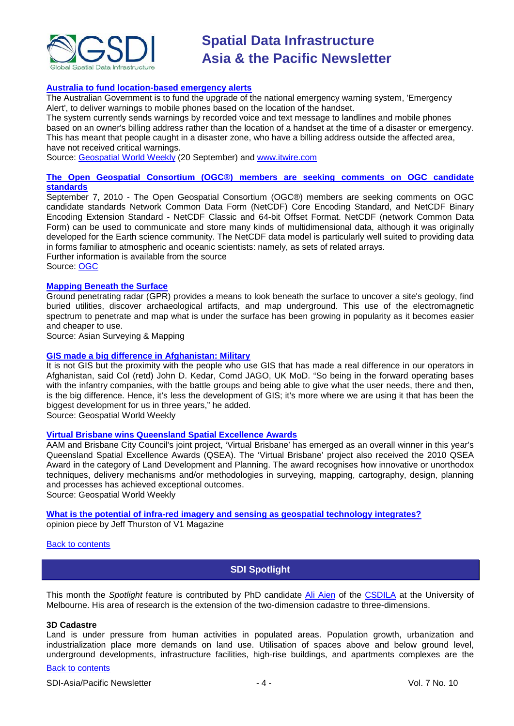

### **[Australia to fund location-based emergency alerts](http://www.itwire.com/it-policy-news/government-tech-policy/41836-emergency-warnings-to-mobiles-will-be-location-based)**

The Australian Government is to fund the upgrade of the national emergency warning system, 'Emergency Alert', to deliver warnings to mobile phones based on the location of the handset.

The system currently sends warnings by recorded voice and text message to landlines and mobile phones based on an owner's billing address rather than the location of a handset at the time of a disaster or emergency. This has meant that people caught in a disaster zone, who have a billing address outside the affected area, have not received critical warnings.

Source: [Geospatial World Weekly](http://www.geospatialworld.net/index.php?option=com_content&view=article&id=18443%3Aaustralia-to-fund-location-based-emergency-alerts&catid=53%3Aapplication-natural-hazard-management&Itemid=1) (20 September) and [www.itwire.com](http://www.itwire.com/)

# **[The Open Geospatial Consortium \(OGC®\) members are seeking comments on OGC candidate](http://www.opengeospatial.org/pressroom/pressreleases/1279)  [standards](http://www.opengeospatial.org/pressroom/pressreleases/1279)**

September 7, 2010 - The Open Geospatial Consortium (OGC®) members are seeking comments on OGC candidate standards Network Common Data Form (NetCDF) Core Encoding Standard, and NetCDF Binary Encoding Extension Standard - NetCDF Classic and 64-bit Offset Format. NetCDF (network Common Data Form) can be used to communicate and store many kinds of multidimensional data, although it was originally developed for the Earth science community. The NetCDF data model is particularly well suited to providing data in forms familiar to atmospheric and oceanic scientists: namely, as sets of related arrays. Further information is available from the source

Source: [OGC](http://www.opengeospatial.org/pressroom/pressreleases/1279)

### **[Mapping Beneath the Surface](http://asmmag.com/news/mapping-beneath-the-surface)**

Ground penetrating radar (GPR) provides a means to look beneath the surface to uncover a site's geology, find buried utilities, discover archaeological artifacts, and map underground. This use of the electromagnetic spectrum to penetrate and map what is under the surface has been growing in popularity as it becomes easier and cheaper to use.

Source: Asian Surveying & Mapping

#### **[GIS made a big difference in Afghanistan: Military](http://www.geospatialworld.net/index.php?option=com_content&view=article&id=18474%3Agis-made-a-big-difference-in-afghanistan-col-kedar&catid=57%3Aapplication-military&Itemid=1)**

It is not GIS but the proximity with the people who use GIS that has made a real difference in our operators in Afghanistan, said Col (retd) John D. Kedar, Comd JAGO, UK MoD. "So being in the forward operating bases with the infantry companies, with the battle groups and being able to give what the user needs, there and then, is the big difference. Hence, it's less the development of GIS; it's more where we are using it that has been the biggest development for us in three years," he added.

Source: Geospatial World Weekly

#### **[Virtual Brisbane wins Queensland Spatial Excellence Awards](http://www.geospatialworld.net/index.php?option=com_content&view=article&id=18459%3Avirtual-brisbane-wins-queensland-spatial-excellence-awards&catid=69%3Abusiness-awards&Itemid=1)**

AAM and Brisbane City Council's joint project, 'Virtual Brisbane' has emerged as an overall winner in this year's Queensland Spatial Excellence Awards (QSEA). The 'Virtual Brisbane' project also received the 2010 QSEA Award in the category of Land Development and Planning. The award recognises how innovative or unorthodox techniques, delivery mechanisms and/or methodologies in surveying, mapping, cartography, design, planning and processes has achieved exceptional outcomes.

Source: Geospatial World Weekly

# **[What is the potential of infra-red imagery and sensing as geospatial technology integrates?](http://www.vector1media.com/dialogue/perspectives/15545-what-is-the-potential-of-infra-red-imagery-and-sensing-as-geospatial-technology-integrates)**

opinion piece by Jeff Thurston of V1 Magazine

<span id="page-3-0"></span>[Back to contents](#page-0-0)

**SDI Spotlight** 

This month the *Spotlight* feature is contributed by PhD candidate [Ali Aien](mailto:a.aien@pgrad.unimelb.edu.au) of the [CSDILA](http://www.csdila.unimelb.edu.au/) at the University of Melbourne. His area of research is the extension of the two-dimension cadastre to three-dimensions.

#### **3D Cadastre**

Land is under pressure from human activities in populated areas. Population growth, urbanization and industrialization place more demands on land use. Utilisation of spaces above and below ground level, underground developments, infrastructure facilities, high-rise buildings, and apartments complexes are the

# [Back to contents](#page-0-0)

SDI-Asia/Pacific Newsletter  $\overline{a}$  - 4 -  $\overline{a}$  -  $\overline{a}$  -  $\overline{a}$  -  $\overline{a}$  Vol. 7 No. 10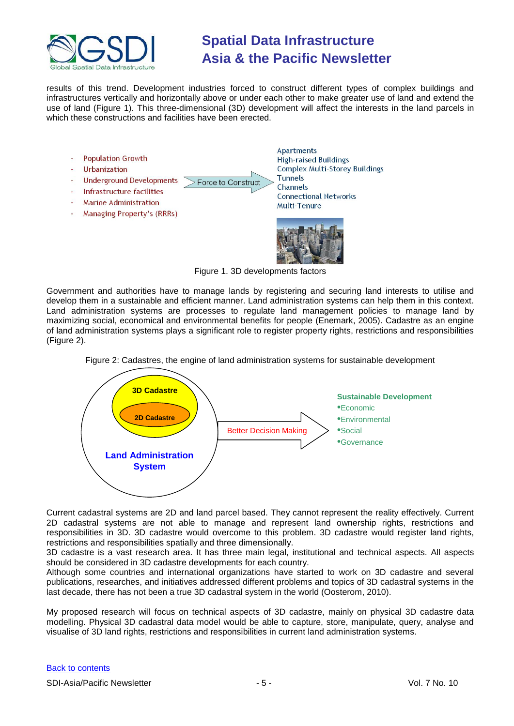

results of this trend. Development industries forced to construct different types of complex buildings and infrastructures vertically and horizontally above or under each other to make greater use of land and extend the use of land (Figure 1). This three-dimensional (3D) development will affect the interests in the land parcels in which these constructions and facilities have been erected.

- **Population Growth**
- Urbanization
	- **Underground Developments** Force to Construct
- Infrastructure facilities
- **Marine Administration**
- **Managing Property's (RRRs)**

**Apartments High-raised Buildings Complex Multi-Storey Buildings Tunnels** Channels **Connectional Networks** Multi-Tenure



Figure 1. 3D developments factors

Government and authorities have to manage lands by registering and securing land interests to utilise and develop them in a sustainable and efficient manner. Land administration systems can help them in this context. Land administration systems are processes to regulate land management policies to manage land by maximizing social, economical and environmental benefits for people (Enemark, 2005). Cadastre as an engine of land administration systems plays a significant role to register property rights, restrictions and responsibilities (Figure 2).





Current cadastral systems are 2D and land parcel based. They cannot represent the reality effectively. Current 2D cadastral systems are not able to manage and represent land ownership rights, restrictions and responsibilities in 3D. 3D cadastre would overcome to this problem. 3D cadastre would register land rights, restrictions and responsibilities spatially and three dimensionally.

3D cadastre is a vast research area. It has three main legal, institutional and technical aspects. All aspects should be considered in 3D cadastre developments for each country.

Although some countries and international organizations have started to work on 3D cadastre and several publications, researches, and initiatives addressed different problems and topics of 3D cadastral systems in the last decade, there has not been a true 3D cadastral system in the world (Oosterom, 2010).

My proposed research will focus on technical aspects of 3D cadastre, mainly on physical 3D cadastre data modelling. Physical 3D cadastral data model would be able to capture, store, manipulate, query, analyse and visualise of 3D land rights, restrictions and responsibilities in current land administration systems.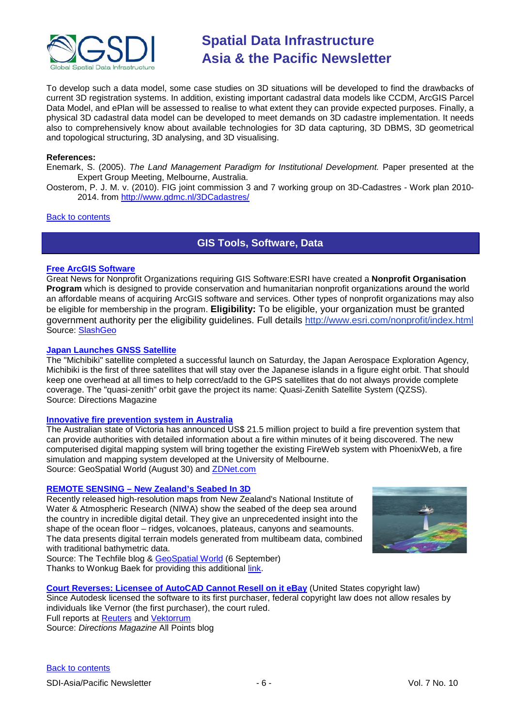

To develop such a data model, some case studies on 3D situations will be developed to find the drawbacks of current 3D registration systems. In addition, existing important cadastral data models like CCDM, ArcGIS Parcel Data Model, and ePlan will be assessed to realise to what extent they can provide expected purposes. Finally, a physical 3D cadastral data model can be developed to meet demands on 3D cadastre implementation. It needs also to comprehensively know about available technologies for 3D data capturing, 3D DBMS, 3D geometrical and topological structuring, 3D analysing, and 3D visualising.

#### **References:**

Enemark, S. (2005). *The Land Management Paradigm for Institutional Development.* Paper presented at the Expert Group Meeting, Melbourne, Australia.

Oosterom, P. J. M. v. (2010). FIG joint commission 3 and 7 working group on 3D-Cadastres - Work plan 2010- 2014. from<http://www.gdmc.nl/3DCadastres/>

### <span id="page-5-0"></span>[Back to contents](#page-0-0)

# **GIS Tools, Software, Data**

### **[Free ArcGIS Software](http://slashgeo.org/2010/09/08/Free-ArcGIS-Software-Nonprofit-Organizations)**

Great News for Nonprofit Organizations requiring GIS Software:ESRI have created a **Nonprofit Organisation Program** which is designed to provide conservation and humanitarian nonprofit organizations around the world an affordable means of acquiring ArcGIS software and services. Other types of nonprofit organizations may also be eligible for membership in the program. **Eligibility:** To be eligible, your organization must be granted government authority per the eligibility guidelines. Full details<http://www.esri.com/nonprofit/index.html> Source: [SlashGeo](http://slashgeo.org/2010/09/08/Free-ArcGIS-Software-Nonprofit-Organizations)

### **[Japan Launches GNSS Satellite](http://apb.directionsmag.com/archives/8614-Japan-Launches-GNSS-Satellite.html)**

The "Michibiki" satellite completed a successful launch on Saturday, the Japan Aerospace Exploration Agency, Michibiki is the first of three satellites that will stay over the Japanese islands in a figure eight orbit. That should keep one overhead at all times to help correct/add to the GPS satellites that do not always provide complete coverage. The "quasi-zenith" orbit gave the project its name: Quasi-Zenith Satellite System (QZSS). Source: Directions Magazine

### **[Innovative fire prevention system in Australia](http://geospatialworld.net/index.php?option=com_content&view=article&id=18277%3Ainnovative-fire-prevention-system-in-australia&catid=53%3Aapplication-natural-hazard-management&Itemid=1)**

The Australian state of Victoria has announced US\$ 21.5 million project to build a fire prevention system that can provide authorities with detailed information about a fire within minutes of it being discovered. The new computerised digital mapping system will bring together the existing FireWeb system with PhoenixWeb, a fire simulation and mapping system developed at the University of Melbourne. Source: GeoSpatial World (August 30) and [ZDNet.com](http://www.zdnet.com.au/brumby-douses-fires-with-22m-system-339305554.htm?omnRef=NULL)

#### **REMOTE SENSING – [New Zealand's Seabed In 3D](http://thetechfile.posterous.com/remote-sensing-new-zealands-seabed-in-3d)**

Recently released high-resolution maps from New Zealand's National Institute of Water & Atmospheric Research (NIWA) show the seabed of the deep sea around the country in incredible digital detail. They give an unprecedented insight into the shape of the ocean floor – ridges, volcanoes, plateaus, canyons and seamounts. The data presents digital terrain models generated from multibeam data, combined with traditional bathymetric data.



Source: The Techfile blog & [GeoSpatial World](http://www.gisdevelopment.net/ezine/weekly/sep0610.htm) (6 September) Thanks to Wonkug Baek for providing this additional [link.](http://www.niwa.co.nz/news-and-publications/news/all/download-the-seabed!)

**[Court Reverses: Licensee of AutoCAD Cannot Resell on it eBay](http://apb.directionsmag.com/archives/8608-Court-Reverses-Licensee-of-AutoCAD-Cannot-Resell-on-it-eBay.html)** (United States copyright law)

Since Autodesk licensed the software to its first purchaser, federal copyright law does not allow resales by individuals like Vernor (the first purchaser), the court ruled.

Full reports at [Reuters](http://www.reuters.com/article/idCNN1027165020100910?rpc=44) and [Vektorrum](http://vektorrum.com/2010/09/10/breaking-news-autodesk-wins-appeal-in-vernor-case/)

Source: *Directions Magazine* All Points blog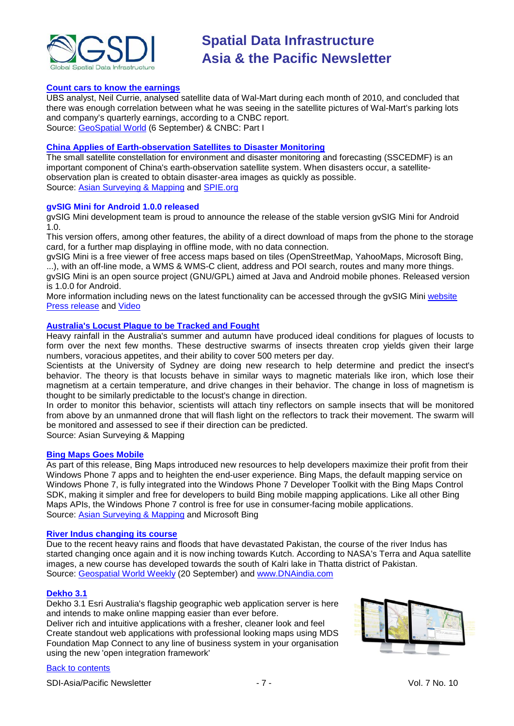

### **[Count cars to know the earnings](http://www.cnbc.com/id/38722872/New_Big_Brother_Market_Moving_Satellite_Images)**

UBS analyst, Neil Currie, analysed satellite data of Wal-Mart during each month of 2010, and concluded that there was enough correlation between what he was seeing in the satellite pictures of Wal-Mart's parking lots and company's quarterly earnings, according to a CNBC report. Source: [GeoSpatial World](http://www.geospatialworld.net/index.php?option=com_content&view=article&id=18310%3Acount-cars-to-know-the-earnings&catid=72%3Abusiness-market-survey-research&Itemid=1) (6 September) & CNBC: Part I

#### **[China Applies of Earth-observation Satellites to Disaster Monitoring](http://spie.org/x41708.xml?highlight=x2420&ArticleID=x41708)**

The small satellite constellation for environment and disaster monitoring and forecasting (SSCEDMF) is an important component of China's earth-observation satellite system. When disasters occur, a satelliteobservation plan is created to obtain disaster-area images as quickly as possible. Source: [Asian Surveying & Mapping](http://asmmag.com/news/china-applies-of-earth-observation-satellites-to-disaster-monitoring) and [SPIE.org](http://spie.org/x13.xml?WT.svl=mddh2)

#### **gvSIG Mini for Android 1.0.0 released**

gvSIG Mini development team is proud to announce the release of the stable version gvSIG Mini for Android 1.0.

This version offers, among other features, the ability of a direct download of maps from the phone to the storage card, for a further map displaying in offline mode, with no data connection.

gvSIG Mini is a free viewer of free access maps based on tiles (OpenStreetMap, YahooMaps, Microsoft Bing, ...), with an off-line mode, a WMS & WMS-C client, address and POI search, routes and many more things. gvSIG Mini is an open source project (GNU/GPL) aimed at Java and Android mobile phones. Released version is 1.0.0 for Android.

More information including news on the latest functionality can be accessed through the gvSIG Mini [website](http://www.gvsigmini.org/) [Press release](http://www.prodevelop.es/en/noticia/10/09/02/gvsig-mini-android-100-released) and [Video](http://www.youtube.com/watch?v=-Mroyn88dgM)

# **[Australia's Locust Plague to be Tracked and Fought](http://asmmag.com/news/australia-s-locust-plague-to-be-tracked-and-fought)**

Heavy rainfall in the Australia's summer and autumn have produced ideal conditions for plagues of locusts to form over the next few months. These destructive swarms of insects threaten crop yields given their large numbers, voracious appetites, and their ability to cover 500 meters per day.

Scientists at the University of Sydney are doing new research to help determine and predict the insect's behavior. The theory is that locusts behave in similar ways to magnetic materials like iron, which lose their magnetism at a certain temperature, and drive changes in their behavior. The change in loss of magnetism is thought to be similarly predictable to the locust's change in direction.

In order to monitor this behavior, scientists will attach tiny reflectors on sample insects that will be monitored from above by an unmanned drone that will flash light on the reflectors to track their movement. The swarm will be monitored and assessed to see if their direction can be predicted.

Source: Asian Surveying & Mapping

#### **[Bing Maps Goes Mobile](http://www.bing.com/community/blogs/maps/archive/2010/09/16/bing-maps-goes-mobile-for-free.aspx)**

As part of this release, Bing Maps introduced new resources to help developers maximize their profit from their Windows Phone 7 apps and to heighten the end-user experience. Bing Maps, the default mapping service on Windows Phone 7, is fully integrated into the Windows Phone 7 Developer Toolkit with the Bing Maps Control SDK, making it simpler and free for developers to build Bing mobile mapping applications. Like all other Bing Maps APIs, the Windows Phone 7 control is free for use in consumer-facing mobile applications. Source: [Asian Surveying & Mapping](http://asmmag.com/) and Microsoft Bing

#### **[River Indus changing its course](http://www.dnaindia.com/india/report_is-river-indus-changing-its-course-after-pak-floods_1437236)**

Due to the recent heavy rains and floods that have devastated Pakistan, the course of the river Indus has started changing once again and it is now inching towards Kutch. According to NASA's Terra and Aqua satellite images, a new course has developed towards the south of Kalri lake in Thatta district of Pakistan. Source: [Geospatial World Weekly](http://www.geospatialworld.net/index.php?option=com_content&view=article&id=18416%3Ariver-indus-changing-its-course&catid=53%3Aapplication-natural-hazard-management&Itemid=1) (20 September) and [www.DNAindia.com](http://www.dnaindia.com/)

#### **[Dekho 3.1](http://www.esriaustralia.com.au/esri/7510.html)**

Dekho 3.1 Esri Australia's flagship geographic web application server is here and intends to make online mapping easier than ever before.

Deliver rich and intuitive applications with a fresher, cleaner look and feel Create standout web applications with professional looking maps using MDS Foundation Map Connect to any line of business system in your organisation using the new 'open integration framework'

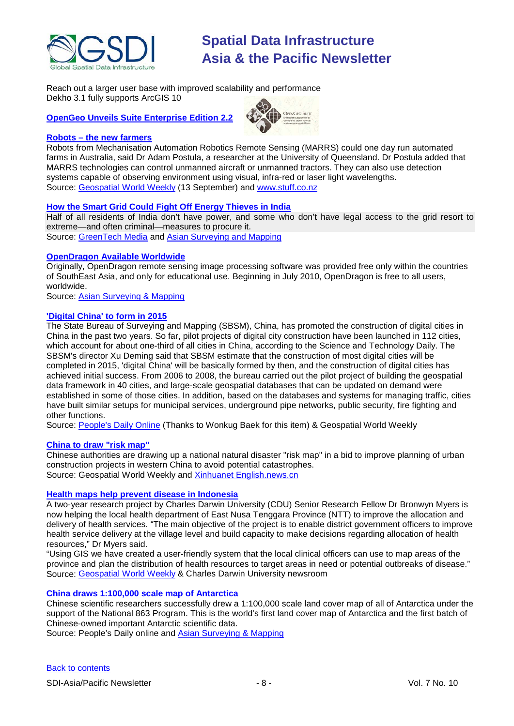

Reach out a larger user base with improved scalability and performance Dekho 3.1 fully supports ArcGIS 10

## **[OpenGeo Unveils Suite Enterprise Edition 2.2](http://opengeo.org/products/suite/)**



#### **Robots – [the new farmers](http://www.stuff.co.nz/technology/4105379/Robot-farms-edge-closer-to-reality)**

Robots from Mechanisation Automation Robotics Remote Sensing (MARRS) could one day run automated farms in Australia, said Dr Adam Postula, a researcher at the University of Queensland. Dr Postula added that MARRS technologies can control unmanned aircraft or unmanned tractors. They can also use detection systems capable of observing environment using visual, infra-red or laser light wavelengths. Source: [Geospatial World Weekly](http://www.geospatialworld.net/index.php?option=com_content&view=article&id=18369%3Arobots--the-new-farmers&catid=51%3Aapplication-agriculture&Itemid=1) (13 September) and [www.stuff.co.nz](http://www.stuff.co.nz/)

#### **[How the Smart Grid Could Fight Off Energy Thieves in India](http://www.greentechmedia.com/articles/read/how-the-smart-grid-could-fight-off-energy-thieves-in-india/?utm_source=feedburner&utm_medium=feed&utm_campaign=Feed%3A+greentechmedia%2Fnews+(Greentech+Media%3A+News))**

Half of all residents of India don't have power, and some who don't have legal access to the grid resort to extreme—and often criminal—measures to procure it. Source: [GreenTech Media](http://www.greentechmedia.com/) and [Asian Surveying and Mapping](http://asmmag.com/news/how-the-smart-grid-could-fight-off-energy-thieves-in-india)

#### **[OpenDragon Available Worldwide](http://www.open-dragon.org/news.html)**

Originally, OpenDragon remote sensing image processing software was provided free only within the countries of SouthEast Asia, and only for educational use. Beginning in July 2010, OpenDragon is free to all users, worldwide.

Source: [Asian Surveying & Mapping](http://asmmag.com/)

#### **['Digital China' to form in 2015](http://www.geospatialworld.net/index.php?option=com_content&view=article&id=18460%3Adigital-china-by-2015&catid=48%3Aproduct-cartography-map-publishing&Itemid=1)**

The State Bureau of Surveying and Mapping (SBSM), China, has promoted the construction of digital cities in China in the past two years. So far, pilot projects of digital city construction have been launched in 112 cities, which account for about one-third of all cities in China, according to the Science and Technology Daily. The SBSM's director Xu Deming said that SBSM estimate that the construction of most digital cities will be completed in 2015, 'digital China' will be basically formed by then, and the construction of digital cities has achieved initial success. From 2006 to 2008, the bureau carried out the pilot project of building the geospatial data framework in 40 cities, and large-scale geospatial databases that can be updated on demand were established in some of those cities. In addition, based on the databases and systems for managing traffic, cities have built similar setups for municipal services, underground pipe networks, public security, fire fighting and other functions.

Source: [People's Daily Online](http://english.peopledaily.com.cn/90001/90776/90882/7143652.html) (Thanks to Wonkug Baek for this item) & Geospatial World Weekly

#### **[China to draw "risk map"](http://www.geospatialworld.net/index.php?option=com_content&view=article&id=18502%3Achina-to-draw-qrisk-mapq&catid=47%3Aproduct-surveying-mapping&Itemid=1)**

Chinese authorities are drawing up a national natural disaster "risk map" in a bid to improve planning of urban construction projects in western China to avoid potential catastrophes. Source: Geospatial World Weekly and **Xinhuanet English.news.cn** 

#### **[Health maps help prevent disease in Indonesia](http://ext.cdu.edu.au/newsroom/a/2010/Pages/HealthmapshelppreventdiseaseinIndonesia.aspx)**

A two-year research project by Charles Darwin University (CDU) Senior Research Fellow Dr Bronwyn Myers is now helping the local health department of East Nusa Tenggara Province (NTT) to improve the allocation and delivery of health services. "The main objective of the project is to enable district government officers to improve health service delivery at the village level and build capacity to make decisions regarding allocation of health resources," Dr Myers said.

"Using GIS we have created a user-friendly system that the local clinical officers can use to map areas of the province and plan the distribution of health resources to target areas in need or potential outbreaks of disease." Source: [Geospatial World Weekly](http://www.geospatialworld.net/index.php?option=com_content&view=article&id=18491%3Ahealth-maps-for-prevention-of-diseases&catid=56%3Aapplication-health&Itemid=1) & Charles Darwin University newsroom

#### **[China draws 1:100,000 scale map of Antarctica](http://english.peopledaily.com.cn/90001/90776/90881/7153425.html)**

Chinese scientific researchers successfully drew a 1:100,000 scale land cover map of all of Antarctica under the support of the National 863 Program. This is the world's first land cover map of Antarctica and the first batch of Chinese-owned important Antarctic scientific data.

Source: People's Daily online and [Asian Surveying & Mapping](http://asmmag.com/news/china-draws-1-100-000-scale-map-of-antarctica)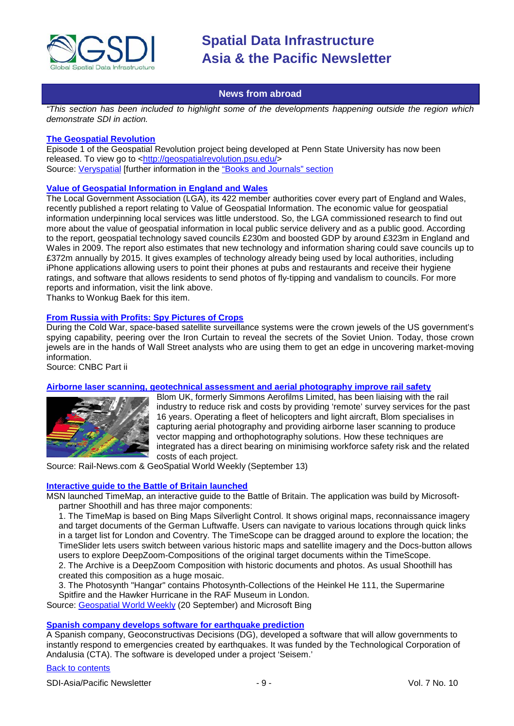

# **News from abroad**

<span id="page-8-0"></span>*"This section has been included to highlight some of the developments happening outside the region which demonstrate SDI in action.*

## **[The Geospatial Revolution](http://www.geotime.com/Product/GeoTime-(1)/Demos-(1)/Demos-(7).aspx)**

Episode 1 of the Geospatial Revolution project being developed at Penn State University has now been released. To view go to [<http://geospatialrevolution.psu.edu/>](http://geospatialrevolution.psu.edu/) Source: [Veryspatial](http://veryspatial.com/2010/09/episode-1-of-the-geospatial-revolution-project-is-now-out/) [further information in the "Books and Journals" section

#### **[Value of Geospatial Information in England and Wales](http://www.lga.gov.uk/lga/core/page.do?pageId=12079357)**

The Local Government Association (LGA), its 422 member authorities cover every part of England and Wales, recently published a report relating to Value of Geospatial Information. The economic value for geospatial information underpinning local services was little understood. So, the LGA commissioned research to find out more about the value of geospatial information in local public service delivery and as a public good. According to the report, geospatial technology saved councils £230m and boosted GDP by around £323m in England and Wales in 2009. The report also estimates that new technology and information sharing could save councils up to £372m annually by 2015. It gives examples of technology already being used by local authorities, including iPhone applications allowing users to point their phones at pubs and restaurants and receive their hygiene ratings, and software that allows residents to send photos of fly-tipping and vandalism to councils. For more reports and information, visit the link above.

Thanks to Wonkug Baek for this item.

# **[From Russia with Profits: Spy Pictures of Crops](http://www.cnbc.com/id/38738523/)**

During the Cold War, space-based satellite surveillance systems were the crown jewels of the US government's spying capability, peering over the Iron Curtain to reveal the secrets of the Soviet Union. Today, those crown jewels are in the hands of Wall Street analysts who are using them to get an edge in uncovering market-moving information.

Source: CNBC Part ii

#### **[Airborne laser scanning, geotechnical assessment and aerial photography improve rail safety](http://rail-news.com/2010/09/02/airborne-laser-scanning-geotechnical-assessment-and-aerial-photography-improve-rail-safety/)**



Blom UK, formerly Simmons Aerofilms Limited, has been liaising with the rail industry to reduce risk and costs by providing 'remote' survey services for the past 16 years. Operating a fleet of helicopters and light aircraft, Blom specialises in capturing aerial photography and providing airborne laser scanning to produce vector mapping and orthophotography solutions. How these techniques are integrated has a direct bearing on minimising workforce safety risk and the related costs of each project.

Source: Rail-News.com & GeoSpatial World Weekly (September 13)

#### **[Interactive guide to the Battle of Britain launched](http://www.bing.com/community/blogs/maps/archive/2010/09/13/msn-launches-the-interactive-guide-to-the-battle-of-britain.aspx)**

MSN launched TimeMap, an interactive guide to the Battle of Britain. The application was build by Microsoftpartner Shoothill and has three major components:

1. The TimeMap is based on Bing Maps Silverlight Control. It shows original maps, reconnaissance imagery and target documents of the German Luftwaffe. Users can navigate to various locations through quick links in a target list for London and Coventry. The TimeScope can be dragged around to explore the location; the TimeSlider lets users switch between various historic maps and satellite imagery and the Docs-button allows users to explore DeepZoom-Compositions of the original target documents within the TimeScope.

2. The Archive is a DeepZoom Composition with historic documents and photos. As usual Shoothill has created this composition as a huge mosaic.

3. The Photosynth "Hangar" contains Photosynth-Collections of the Heinkel He 111, the Supermarine Spitfire and the Hawker Hurricane in the RAF Museum in London.

Source: [Geospatial World Weekly](http://www.geospatialworld.net/index.php?option=com_content&view=article&id=18415%3Ainteractive-guide-to-the-battle-of-britain-launched&catid=48%3Aproduct-cartography-map-publishing&Itemid=1) (20 September) and Microsoft Bing

# **[Spanish company develops software for earthquake prediction](http://www.elmundo.es/elmundo/2010/09/15/andalucia/1284569389.html)**

A Spanish company, Geoconstructivas Decisions (DG), developed a software that will allow governments to instantly respond to emergencies created by earthquakes. It was funded by the Technological Corporation of Andalusia (CTA). The software is developed under a project 'Seisem.'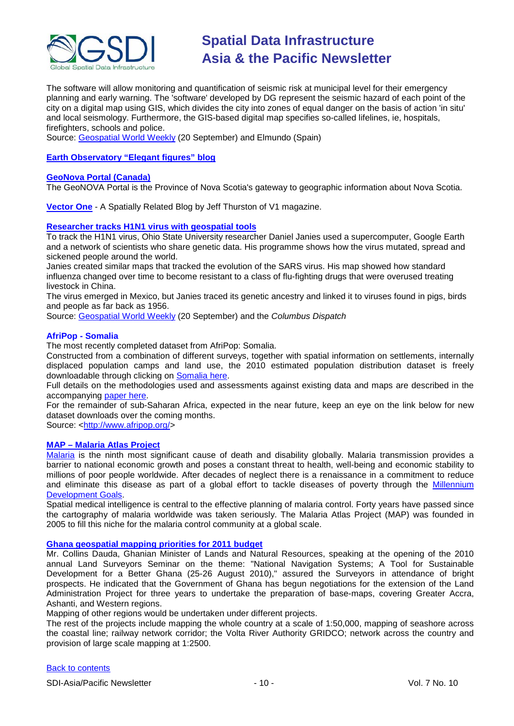

The software will allow monitoring and quantification of seismic risk at municipal level for their emergency planning and early warning. The 'software' developed by DG represent the seismic hazard of each point of the city on a digital map using GIS, which divides the city into zones of equal danger on the basis of action 'in situ' and local seismology. Furthermore, the GIS-based digital map specifies so-called lifelines, ie, hospitals, firefighters, schools and police.

Source: [Geospatial World Weekly](http://www.geospatialworld.net/index.php?option=com_content&view=article&id=18440%3Aspanish-company-develops-software-for-earthquake-prediction&catid=53%3Aapplication-natural-hazard-management&Itemid=1) (20 September) and Elmundo (Spain)

### **[Earth Observatory "Elegant figures" blog](http://earthobservatory.nasa.gov/blogs/elegantfigures/)**

#### **[GeoNova Portal \(Canada\)](http://www.gov.ns.ca/geonova/home/default.asp)**

The GeoNOVA Portal is the Province of Nova Scotia's gateway to geographic information about Nova Scotia.

**[Vector One](http://www.vector1media.com/vectorone)** - A Spatially Related Blog by Jeff Thurston of V1 magazine.

### **[Researcher tracks H1N1 virus with geospatial tools](http://www.dispatch.com/live/content/science/stories/2010/09/12/osu-researcher-honed-program-studying-flu-pandemic.html?sid=101)**

To track the H1N1 virus, Ohio State University researcher Daniel Janies used a supercomputer, Google Earth and a network of scientists who share genetic data. His programme shows how the virus mutated, spread and sickened people around the world.

Janies created similar maps that tracked the evolution of the SARS virus. His map showed how standard influenza changed over time to become resistant to a class of flu-fighting drugs that were overused treating livestock in China.

The virus emerged in Mexico, but Janies traced its genetic ancestry and linked it to viruses found in pigs, birds and people as far back as 1956.

Source: [Geospatial World Weekly](http://www.geospatialworld.net/index.php?option=com_content&view=article&id=18424%3Aresearcher-tracks-h1n1-virus-with-geospatial-tools&catid=56%3Aapplication-health&Itemid=1) (20 September) and the *Columbus Dispatch*

#### **AfriPop - Somalia**

The most recently completed dataset from AfriPop: Somalia.

Constructed from a combination of different surveys, together with spatial information on settlements, internally displaced population camps and land use, the 2010 estimated population distribution dataset is freely downloadable through clicking on [Somalia here.](http://www.clas.ufl.edu/users/atatem/index_files/Data.htm)

Full details on the methodologies used and assessments against existing data and maps are described in the accompanying [paper here.](http://www.ij-healthgeographics.com/content/9/1/45)

For the remainder of sub-Saharan Africa, expected in the near future, keep an eye on the link below for new dataset downloads over the coming months.

Source: [<http://www.afripop.org/>](http://www.afripop.org/)

#### **MAP – [Malaria Atlas Project](http://www.map.ox.ac.uk/)**

[Malaria](http://en.wikipedia.org/wiki/Malaria) is the ninth most significant cause of death and disability globally. Malaria transmission provides a barrier to national economic growth and poses a constant threat to health, well-being and economic stability to millions of poor people worldwide. After decades of neglect there is a renaissance in a commitment to reduce and eliminate this disease as part of a global effort to tackle diseases of poverty through the Millennium [Development Goals.](http://www.un.org/millenniumgoals/)

Spatial medical intelligence is central to the effective planning of malaria control. Forty years have passed since the cartography of malaria worldwide was taken seriously. The Malaria Atlas Project (MAP) was founded in 2005 to fill this niche for the malaria control community at a global scale.

### **[Ghana geospatial mapping priorities for 2011 budget](http://www.ghanaweb.com/GhanaHomePage/NewsArchive/artikel.php?ID=189121)**

Mr. Collins Dauda, Ghanian Minister of Lands and Natural Resources, speaking at the opening of the 2010 annual Land Surveyors Seminar on the theme: "National Navigation Systems; A Tool for Sustainable Development for a Better Ghana (25-26 August 2010)," assured the Surveyors in attendance of bright prospects. He indicated that the Government of Ghana has begun negotiations for the extension of the Land Administration Project for three years to undertake the preparation of base-maps, covering Greater Accra, Ashanti, and Western regions.

Mapping of other regions would be undertaken under different projects.

The rest of the projects include mapping the whole country at a scale of 1:50,000, mapping of seashore across the coastal line; railway network corridor; the Volta River Authority GRIDCO; network across the country and provision of large scale mapping at 1:2500.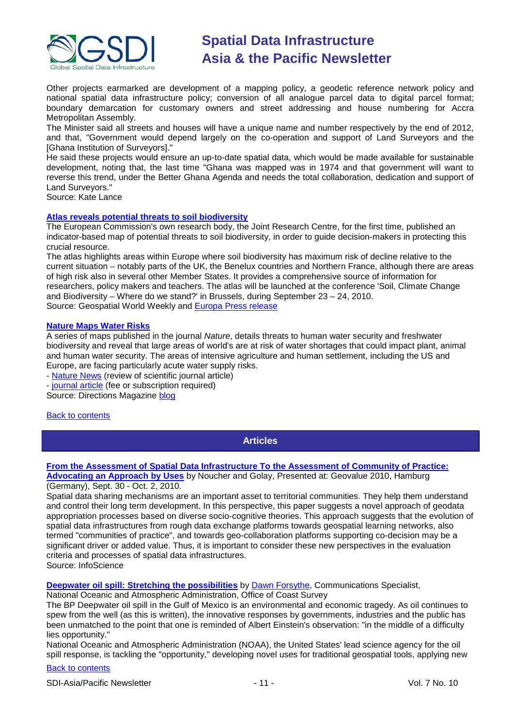

Other projects earmarked are development of a mapping policy, a geodetic reference network policy and national spatial data infrastructure policy; conversion of all analogue parcel data to digital parcel format; boundary demarcation for customary owners and street addressing and house numbering for Accra Metropolitan Assembly.

The Minister said all streets and houses will have a unique name and number respectively by the end of 2012, and that, "Government would depend largely on the co-operation and support of Land Surveyors and the [Ghana Institution of Surveyors]."

He said these projects would ensure an up-to-date spatial data, which would be made available for sustainable development, noting that, the last time "Ghana was mapped was in 1974 and that government will want to reverse this trend, under the Better Ghana Agenda and needs the total collaboration, dedication and support of Land Surveyors."

Source: Kate Lance

### **[Atlas reveals potential threats to soil biodiversity](http://www.geospatialworld.net/index.php?option=com_content&view=article&id=18497%3Aatlas-reveals-potential-threats-to-soil-biodiversity&catid=52%3Aapplication-natural-resource-management&Itemid=1)**

The European Commission's own research body, the Joint Research Centre, for the first time, published an indicator-based map of potential threats to soil biodiversity, in order to guide decision-makers in protecting this crucial resource.

The atlas highlights areas within Europe where soil biodiversity has maximum risk of decline relative to the current situation – notably parts of the UK, the Benelux countries and Northern France, although there are areas of high risk also in several other Member States. It provides a comprehensive source of information for researchers, policy makers and teachers. The atlas will be launched at the conference 'Soil, Climate Change and Biodiversity – Where do we stand?' in Brussels, during September 23 – 24, 2010. Source: Geospatial World Weekly and **Europa Press release** 

### **[Nature Maps Water Risks](http://apb.directionsmag.com/archives/8719-Nature-Maps-Water-Risks.html)**

A series of [maps](http://www.nature.com/news/2010/100929/full/news.2010.505/box/1.html) published in the journal *Nature*, details threats to human water security and freshwater biodiversity and reveal that large areas of world's are at risk of water shortages that could impact plant, animal and human water security. The areas of intensive agriculture and human settlement, including the US and Europe, are facing particularly acute water supply risks.

- [Nature News](http://www.nature.com/news/2010/100929/full/news.2010.505.html) (review of scientific journal article)

- [journal article](http://www.nature.com/nature/journal/v467/n7315/full/nature09440.html) (fee or subscription required)

Source: Directions Magazine [blog](http://apb.directionsmag.com/archives/8719-Nature-Maps-Water-Risks.html)

#### <span id="page-10-0"></span>[Back to contents](#page-0-0)

# **Articles**

# **[From the Assessment of Spatial Data Infrastructure To the Assessment of Community of Practice:](http://infoscience.epfl.ch/record/151696)  [Advocating an Approach by Uses](http://infoscience.epfl.ch/record/151696)** by [Noucher](http://infoscience.epfl.ch/search?f=author&p=Noucher%2C%20Matthieu&ln=en) and [Golay, P](http://infoscience.epfl.ch/search?f=author&p=Golay%2C%20Fran%C3%A7ois&ln=en)resented at: Geovalue 2010, Hamburg

(Germany), Sept. 30 - Oct. 2, 2010.

Spatial data sharing mechanisms are an important asset to territorial communities. They help them understand and control their long term development. In this perspective, this paper suggests a novel approach of geodata appropriation processes based on diverse socio-cognitive theories. This approach suggests that the evolution of spatial data infrastructures from rough data exchange platforms towards geospatial learning networks, also termed "communities of practice", and towards geo-collaboration platforms supporting co-decision may be a significant driver or added value. Thus, it is important to consider these new perspectives in the evaluation criteria and processes of spatial data infrastructures. Source: InfoScience

**[Deepwater oil spill: Stretching the possibilities](http://www.gisdevelopment.net/magazine/global/2010/august/32-Deepwater-oil-spill-Stretching-the-possibilities.htm)** b[y Dawn Forsythe,](mailto:Dawn.Forsythe@noaa.gov) Communications Specialist,

National Oceanic and Atmospheric Administration, Office of Coast Survey

The BP Deepwater oil spill in the Gulf of Mexico is an environmental and economic tragedy. As oil continues to spew from the well (as this is written), the innovative responses by governments, industries and the public has been unmatched to the point that one is reminded of Albert Einstein's observation: "in the middle of a difficulty lies opportunity."

National Oceanic and Atmospheric Administration (NOAA), the United States' lead science agency for the oil spill response, is tackling the "opportunity," developing novel uses for traditional geospatial tools, applying new

# [Back to contents](#page-0-0)

SDI-Asia/Pacific Newsletter  $\sim$  11 - 11 - Vol. 7 No. 10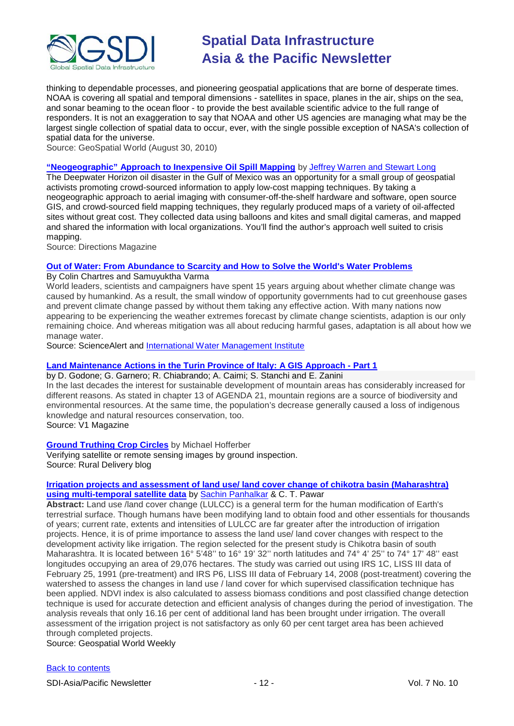

thinking to dependable processes, and pioneering geospatial applications that are borne of desperate times. NOAA is covering all spatial and temporal dimensions - satellites in space, planes in the air, ships on the sea, and sonar beaming to the ocean floor - to provide the best available scientific advice to the full range of responders. It is not an exaggeration to say that NOAA and other US agencies are managing what may be the largest single collection of spatial data to occur, ever, with the single possible exception of NASA's collection of spatial data for the universe.

Source: GeoSpatial World (August 30, 2010)

#### **["Neogeographic" Approach to Inexpensive Oil Spill Mapping](http://www.directionsmag.com/articles/neogeographic-approach-to-inexpensive-oil-spil-mapping/131048)** by [Jeffrey Warren and Stewart Long](http://www.directionsmag.com/authors/jeffrey-warren-and-stewart-long/130086)

The Deepwater Horizon oil disaster in the Gulf of Mexico was an opportunity for a small group of geospatial activists promoting crowd-sourced information to apply low-cost mapping techniques. By taking a neogeographic approach to aerial imaging with consumer-off-the-shelf hardware and software, open source GIS, and crowd-sourced field mapping techniques, they regularly produced maps of a variety of oil-affected sites without great cost. They collected data using balloons and kites and small digital cameras, and mapped and shared the information with local organizations. You'll find the author's approach well suited to crisis mapping.

Source: Directions Magazine

#### **[Out of Water: From Abundance to Scarcity and How to Solve the World's Water Problems](http://www.sciencealert.com.au/opinions/20100609-21297.html)**

By Colin Chartres and Samuyuktha Varma

World leaders, scientists and campaigners have spent 15 years arguing about whether climate change was caused by humankind. As a result, the small window of opportunity governments had to cut greenhouse gases and prevent climate change passed by without them taking any effective action. With many nations now appearing to be experiencing the weather extremes forecast by climate change scientists, adaption is our only remaining choice. And whereas mitigation was all about reducing harmful gases, adaptation is all about how we manage water.

Source: ScienceAlert and [International Water Management Institute](http://www.iwmi.cgiar.org/index.aspx)

## **[Land Maintenance Actions in the Turin Province of Italy: A GIS Approach -](http://www.vector1media.com/articles/features/15487-land-maintenance-actions-in-the-turin-province-of-italy-a-gis-approach-part-1) Part 1**

by D. Godone; G. Garnero; R. Chiabrando; A. Caimi; S. Stanchi and E. Zanini In the last decades the interest for sustainable development of mountain areas has considerably increased for different reasons. As stated in chapter 13 of AGENDA 21, mountain regions are a source of biodiversity and environmental resources. At the same time, the population's decrease generally caused a loss of indigenous knowledge and natural resources conservation, too. Source: V1 Magazine

**[Ground Truthing Crop Circles](http://ruraldeliveryblog.blogspot.com/2010/09/ground-truthing-crop-circles.html)** by Michael Hofferber

Verifying satellite or remote sensing images by ground inspection. Source: Rural Delivery blog

### **[Irrigation projects and assessment of land use/ land cover change of chikotra basin \(Maharashtra\)](http://geospatialworld.net/index.php?option=com_content&view=article&id=18505%3Airrigation-projects-and-assessment-of-land-use-land-cover-change-of-chikotra-basin-maharashtra-using-multi-temporal-satellite-data&catid=115%3Aagriculture-irrigation&Itemid=41)  [using multi-temporal satellite data](http://geospatialworld.net/index.php?option=com_content&view=article&id=18505%3Airrigation-projects-and-assessment-of-land-use-land-cover-change-of-chikotra-basin-maharashtra-using-multi-temporal-satellite-data&catid=115%3Aagriculture-irrigation&Itemid=41)** by [Sachin Panhalkar](mailto:panhalkarsachin@yahoo.%20co.in) & C. T. Pawar

**Abstract:** Land use /land cover change (LULCC) is a general term for the human modification of Earth's terrestrial surface. Though humans have been modifying land to obtain food and other essentials for thousands of years; current rate, extents and intensities of LULCC are far greater after the introduction of irrigation projects. Hence, it is of prime importance to assess the land use/ land cover changes with respect to the development activity like irrigation. The region selected for the present study is Chikotra basin of south Maharashtra. It is located between 16° 5'48'' to 16° 19' 32'' north latitudes and 74° 4' 25'' to 74° 17' 48'' east longitudes occupying an area of 29,076 hectares. The study was carried out using IRS 1C, LISS III data of February 25, 1991 (pre-treatment) and IRS P6, LISS III data of February 14, 2008 (post-treatment) covering the watershed to assess the changes in land use / land cover for which supervised classification technique has been applied. NDVI index is also calculated to assess biomass conditions and post classified change detection technique is used for accurate detection and efficient analysis of changes during the period of investigation. The analysis reveals that only 16.16 per cent of additional land has been brought under irrigation. The overall assessment of the irrigation project is not satisfactory as only 60 per cent target area has been achieved through completed projects.

Source: Geospatial World Weekly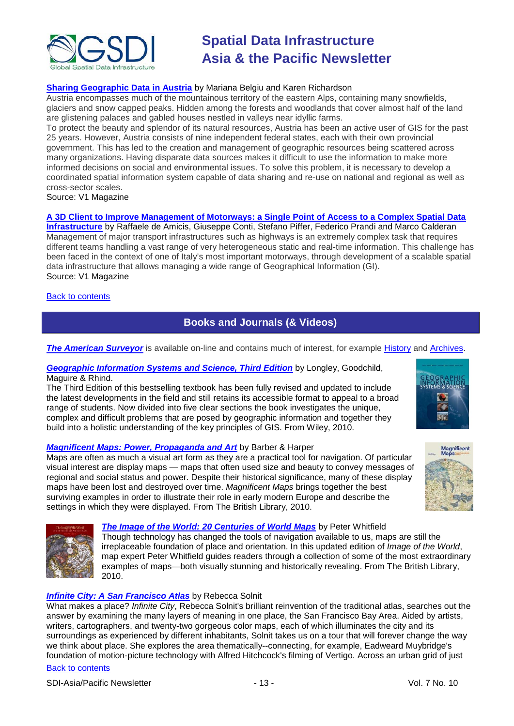

# **[Sharing Geographic Data in Austria](http://www.vector1media.com/articles/features/15724-sharing-geographic-data-in-austria)** by Mariana Belgiu and Karen Richardson

Austria encompasses much of the mountainous territory of the eastern Alps, containing many snowfields, glaciers and snow capped peaks. Hidden among the forests and woodlands that cover almost half of the land are glistening palaces and gabled houses nestled in valleys near idyllic farms.

To protect the beauty and splendor of its natural resources, Austria has been an active user of GIS for the past 25 years. However, Austria consists of nine independent federal states, each with their own provincial government. This has led to the creation and management of geographic resources being scattered across many organizations. Having disparate data sources makes it difficult to use the information to make more informed decisions on social and environmental issues. To solve this problem, it is necessary to develop a coordinated spatial information system capable of data sharing and re-use on national and regional as well as cross-sector scales.

Source: V1 Magazine

### **[A 3D Client to Improve Management of Motorways: a Single Point of Access to a Complex Spatial Data](http://www.vector1media.com/articles/features/15712-a-3d-client-to-improve-management-of-motorways-a-single-point-of-access-to-a-complex-spatial-data-infrastructure)**

**[Infrastructure](http://www.vector1media.com/articles/features/15712-a-3d-client-to-improve-management-of-motorways-a-single-point-of-access-to-a-complex-spatial-data-infrastructure)** by Raffaele de Amicis, Giuseppe Conti, Stefano Piffer, Federico Prandi and Marco Calderan Management of major transport infrastructures such as highways is an extremely complex task that requires different teams handling a vast range of very heterogeneous static and real-time information. This challenge has been faced in the context of one of Italy's most important motorways, through development of a scalable spatial data infrastructure that allows managing a wide range of Geographical Information (GI). Source: V1 Magazine

### <span id="page-12-0"></span>**[Back to contents](#page-0-0)**

# **Books and Journals (& Videos)**

**[The American Surveyor](http://www.amerisurv.com/)** is available on-line and contains much of interest, for example [History](http://www.amerisurv.com/content/view/4109/156/) and [Archives.](http://www.amerisurv.com/content/view/4677/153/)

# *[Geographic Information Systems and Science, Third Edition](http://www.amazon.com/exec/obidos/ASIN/0470721448/directionsm00-20)* by Longley, Goodchild, Maguire & Rhind.

The Third Edition of this bestselling textbook has been fully revised and updated to include the latest developments in the field and still retains its accessible format to appeal to a broad range of students. Now divided into five clear sections the book investigates the unique, complex and difficult problems that are posed by geographic information and together they build into a holistic understanding of the key principles of GIS. From Wiley, 2010.

# *[Magnificent Maps: Power, Propaganda and Art](http://www.amazon.com/exec/obidos/ASIN/0712350926/directionsm00-20)* by Barber & Harper

Maps are often as much a visual art form as they are a practical tool for navigation. Of particular visual interest are display maps — maps that often used size and beauty to convey messages of regional and social status and power. Despite their historical significance, many of these display maps have been lost and destroyed over time. *Magnificent Maps* brings together the best surviving examples in order to illustrate their role in early modern Europe and describe the settings in which they were displayed. From The British Library, 2010.





# *[The Image of the World: 20 Centuries of World Maps](http://www.amazon.com/exec/obidos/ASIN/0712350896/directionsm00-20)* by Peter Whitfield

Though technology has changed the tools of navigation available to us, maps are still the irreplaceable foundation of place and orientation. In this updated edition of *Image of the World*, map expert Peter Whitfield guides readers through a collection of some of the most extraordinary examples of maps—both visually stunning and historically revealing. From The British Library, 2010.

# *[Infinite City: A San Francisco Atlas](http://www.amazon.com/exec/obidos/ASIN/0520262506/directionsm00-20)* by Rebecca Solnit

What makes a place? *Infinite City*, Rebecca Solnit's brilliant reinvention of the traditional atlas, searches out the answer by examining the many layers of meaning in one place, the San Francisco Bay Area. Aided by artists, writers, cartographers, and twenty-two gorgeous color maps, each of which illuminates the city and its surroundings as experienced by different inhabitants, Solnit takes us on a tour that will forever change the way we think about place. She explores the area thematically--connecting, for example, Eadweard Muybridge's foundation of motion-picture technology with Alfred Hitchcock's filming of Vertigo. Across an urban grid of just

# [Back to contents](#page-0-0)

SDI-Asia/Pacific Newsletter  $\sim$  13 - 13 - Vol. 7 No. 10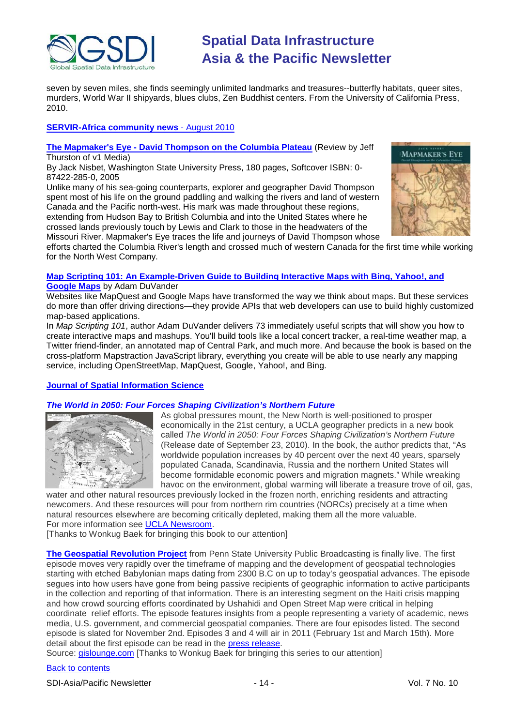

seven by seven miles, she finds seemingly unlimited landmarks and treasures--butterfly habitats, queer sites, murders, World War II shipyards, blues clubs, Zen Buddhist centers. From the University of California Press, 2010.

# **[SERVIR-Africa community news](http://www.servir.net/africa/index.php?option=com_mamblog&Itemid=54&task=show&action=all&id=0&ignorecount=1)** - August 2010

#### **The Mapmaker's Eye - [David Thompson on the Columbia Plateau](http://www.vector1media.com/articles/reviews/14239-the-mapmakers-eye-david-thompson-on-the-columbia-plateau)** (Review by Jeff Thurston of v1 Media)

By Jack Nisbet, [Washington State University Press, 1](http://www.wsupress.wsu.edu/)80 pages, Softcover ISBN: 0- 87422-285-0, 2005

Unlike many of his sea-going counterparts, explorer and geographer David Thompson spent most of his life on the ground paddling and walking the rivers and land of western Canada and the Pacific north-west. His mark was made throughout these regions, extending from Hudson Bay to British Columbia and into the United States where he crossed lands previously touch by Lewis and Clark to those in the headwaters of the Missouri River. Mapmaker's Eye traces the life and journeys of David Thompson whose



efforts charted the Columbia River's length and crossed much of western Canada for the first time while working for the North West Company.

# **[Map Scripting 101: An Example-Driven Guide to Building Interactive Maps with Bing, Yahoo!, and](http://www.amazon.com/gp/product/1593272715?ie=UTF8&tag=vectmedi-20&creativeASIN=1593272715)  [Google Maps](http://www.amazon.com/gp/product/1593272715?ie=UTF8&tag=vectmedi-20&creativeASIN=1593272715)** by Adam DuVander

Websites like MapQuest and Google Maps have transformed the way we think about maps. But these services do more than offer driving directions—they provide APIs that web developers can use to build highly customized map-based applications.

In *Map Scripting 101*, author Adam DuVander delivers 73 immediately useful scripts that will show you how to create interactive maps and mashups. You'll build tools like a local concert tracker, a real-time weather map, a Twitter friend-finder, an annotated map of Central Park, and much more. And because the book is based on the cross-platform Mapstraction JavaScript library, everything you create will be able to use nearly any mapping service, including OpenStreetMap, MapQuest, Google, Yahoo!, and Bing.

# **[Journal of Spatial Information Science](http://josis.org/index.php/josis/index)**

# *The World in 2050: Four Forces Shaping Civilization's Northern Future*



As global pressures mount, the New North is well-positioned to prosper economically in the 21st century, a UCLA geographer predicts in a new book called *The World in 2050: Four Forces Shaping Civilization's Northern Future* (Release date of September 23, 2010). In the book, the author predicts that, "As worldwide population increases by 40 percent over the next 40 years, sparsely populated Canada, Scandinavia, Russia and the northern United States will become formidable economic powers and migration magnets." While wreaking havoc on the environment, global warming will liberate a treasure trove of oil, gas.

water and other natural resources previously locked in the frozen north, enriching residents and attracting newcomers. And these resources will pour from northern rim countries (NORCs) precisely at a time when natural resources elsewhere are becoming critically depleted, making them all the more valuable. For more information see [UCLA Newsroom.](http://newsroom.ucla.edu/portal/ucla/global-warming-s-silver-lining-169919.aspx)

[Thanks to Wonkug Baek for bringing this book to our attention]

**[The Geospatial Revolution Project](http://geospatialrevolution.psu.edu/)** from Penn State University Public Broadcasting is finally live. The first episode moves very rapidly over the timeframe of mapping and the development of geospatial technologies starting with etched Babylonian maps dating from 2300 B.C on up to today's geospatial advances. The episode segues into how users have gone from being passive recipients of geographic information to active participants in the collection and reporting of that information. There is an interesting segment on the Haiti crisis mapping and how crowd sourcing efforts coordinated by Ushahidi and Open Street Map were critical in helping coordinate relief efforts. The episode features insights from a people representing a variety of academic, news media, U.S. government, and commercial geospatial companies. There are four episodes listed. The second episode is slated for November 2nd. Episodes 3 and 4 will air in 2011 (February 1st and March 15th). More detail about the first episode can be read in the [press release.](http://news.gislounge.com/2010/09/penn-state-video-illustrates-benefit-of-gps-technology-in-disasters/)

Source: [gislounge.com](http://gislounge.com/) [Thanks to Wonkug Baek for bringing this series to our attention]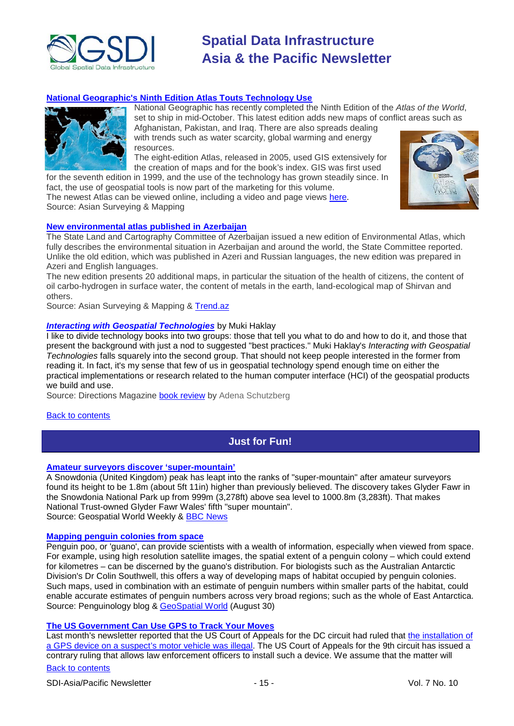

#### **[National Geographic's Ninth Edition Atlas Touts Technology Use](http://asmmag.com/news/national-geographic-s-ninth-edition-atlas-touts-technology-use)** National Geographic has recently completed the Ninth Edition of the *Atlas of the World*,



set to ship in mid-October. This latest edition adds new maps of conflict areas such as Afghanistan, Pakistan, and Iraq. There are also spreads dealing with trends such as water scarcity, global warming and energy resources.

The eight-edition Atlas, released in 2005, used GIS extensively for the creation of maps and for the book's index. GIS was first used

for the seventh edition in 1999, and the use of the technology has grown steadily since. In fact, the use of geospatial tools is now part of the marketing for this volume. The newest Atlas can be viewed online, including a video and page views [here.](http://www.nationalgeographic.com/atlas/) Source: Asian Surveying & Mapping



# **[New environmental atlas published in Azerbaijan](http://asmmag.com/news/new-environmental-atlas-published-in-azerbaijan)**

The [State Land and Cartography Committee of Azerbaijan](http://en.trend.az/search/?str=State+Land+and+Cartography+Committee+of+Azerbaijan&m=a) issued a new edition of Environmental Atlas, which fully describes the environmental situation in Azerbaijan and around the world, the State Committee reported. Unlike the old edition, which was published in Azeri and Russian languages, the new edition was prepared in Azeri and English languages.

The new edition presents 20 additional maps, in particular the situation of the health of citizens, the content of oil carbo-hydrogen in surface water, the content of metals in the earth, land-ecological map of Shirvan and others.

Source: Asian Surveying & Mapping & [Trend.az](http://en.trend.az/capital/realest/1758783.html)

### *[Interacting with Geospatial Technologies](http://www.amazon.com/exec/obidos/ASIN/0470998245/directionsm00-20)* by Muki Haklay

I like to divide technology books into two groups: those that tell you what to do and how to do it, and those that present the background with just a nod to suggested "best practices." Muki Haklay's *Interacting with Geospatial Technologies* falls squarely into the second group. That should not keep people interested in the former from reading it. In fact, it's my sense that few of us in geospatial technology spend enough time on either the practical implementations or research related to the human computer interface (HCI) of the geospatial products we build and use.

Source: Directions Magazine [book review](http://www.directionsmag.com/articles/book-review-interacting-with-geospatial-technologies-by-muki-haklay/132456) by Adena Schutzberg

#### <span id="page-14-0"></span>[Back to contents](#page-0-0)

# **Just for Fun!**

#### **[Amateur surveyors discover 'super-mountain'](http://www.geospatialworld.net/index.php?option=com_content&view=article&id=18485%3Aamateur-surveyors-discover-super-mountain&catid=66%3Aapplication-miscellaneous&Itemid=1)**

A Snowdonia (United Kingdom) peak has leapt into the ranks of "super-mountain" after amateur surveyors found its height to be 1.8m (about 5ft 11in) higher than previously believed. The discovery takes Glyder Fawr in the Snowdonia National Park up from 999m (3,278ft) above sea level to 1000.8m (3,283ft). That makes National Trust-owned Glyder Fawr Wales' fifth "super mountain". Source: Geospatial World Weekly & [BBC News](http://www.bbc.co.uk/news/uk-wales-north-west-wales-11375937)

#### **[Mapping penguin colonies from space](http://penguinology.blogspot.com/2010/08/more-on-mapping-penguin-colonies.html)**

Penguin poo, or 'guano', can provide scientists with a wealth of information, especially when viewed from space. For example, using high resolution satellite images, the spatial extent of a penguin colony – which could extend for kilometres – can be discerned by the guano's distribution. For biologists such as the Australian Antarctic Division's Dr Colin Southwell, this offers a way of developing maps of habitat occupied by penguin colonies. Such maps, used in combination with an estimate of penguin numbers within smaller parts of the habitat, could enable accurate estimates of penguin numbers across very broad regions; such as the whole of East Antarctica. Source: Penguinology blog & [GeoSpatial World](http://www.gisdevelopment.net/ezine/weekly/aug3010.htm) (August 30)

#### **[The US Government Can Use GPS to Track Your Moves](http://www.time.com/time/nation/article/0,8599,2013150,00.html#ixzz0yQUe0i6Y)**

[Back to contents](#page-0-0) Last month's newsletter reported that the US Court of Appeals for the DC circuit had ruled that the installation of [a GPS device on a suspect's motor vehicle was illegal.](http://legaltimes.typepad.com/blt/2010/08/dc-circuit-gps-police-surveillance-requires-warrant.html) The US Court of Appeals for the 9th circuit has issued a contrary ruling that allows law enforcement officers to install such a device. We assume that the matter will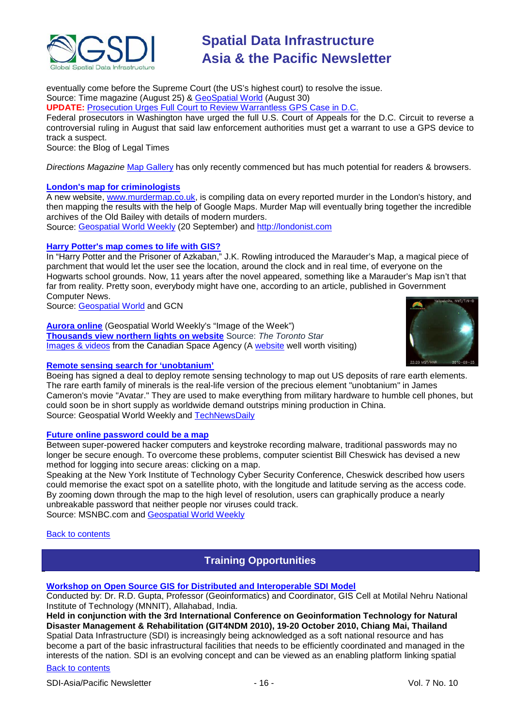

eventually come before the Supreme Court (the US's highest court) to resolve the issue. Source: Time magazine (August 25) & [GeoSpatial World](http://geospatialworld.net/index.php?option=com_content&view=article&id=18278%3Aindividual-privacy-at-stake&catid=78%3Amiscellaneous-policy&Itemid=1) (August 30) **UPDATE:** [Prosecution Urges Full Court to Review Warrantless GPS Case in D.C.](http://legaltimes.typepad.com/blt/2010/09/doj-urges-full-court-to-review-warrantless-gps-case-in-dc.html)

Federal prosecutors in Washington have urged the full U.S. Court of Appeals for the D.C. Circuit to reverse a controversial ruling in August that said law enforcement authorities must get a warrant to use a GPS device to track a suspect.

Source: the Blog of Legal Times

*Directions Magazine* [Map Gallery](http://www.directionsmag.com/mapgallery/) has only recently commenced but has much potential for readers & browsers.

# **[London's map for criminologists](http://londonist.com/2010/09/all_of_londons_murdersmapped.php)**

A new website, [www.murdermap.co.uk,](http://www.murdermap.co.uk/) is compiling data on every reported murder in the London's history, and then mapping the results with the help of Google Maps. Murder Map will eventually bring together the incredible archives of the Old Bailey with details of modern murders.

Source: [Geospatial World Weekly](http://www.geospatialworld.net/index.php?option=com_content&view=article&id=18439%3Alondons-map-for-criminologists&catid=47%3Aproduct-surveying-mapping&Itemid=1) (20 September) and [http://londonist.com](http://londonist.com/)

# **[Harry Potter's map comes to life with GIS?](http://gcn.com/articles/2010/09/20/editorial-harry-potter-gis.aspx)**

In "Harry Potter and the Prisoner of Azkaban," J.K. Rowling introduced the Marauder's Map, a magical piece of parchment that would let the user see the location, around the clock and in real time, of everyone on the Hogwarts school grounds. Now, 11 years after the novel appeared, something like a Marauder's Map isn't that far from reality. Pretty soon, everybody might have one, according to an article, published in Government Computer News.

Source: [Geospatial World](http://www.geospatialworld.net/index.php?option=com_content&view=article&id=18464:harry-potters-map-comes-to-life-with-gis&catid=48&Itemid=1) and GCN

**[Aurora online](http://www.gisdevelopment.net/ezine/weekly/imgoftheweeksep2710.htm)** (Geospatial World Weekly's "Image of the Week") **[Thousands view northern lights on website](http://www.thestar.com/news/sciencetech/science/article/864634--thousands-view-northern-lights-on-website)** Source: *The Toronto Star* [Images & videos](http://www.asc-csa.gc.ca/eng/astronomy/auroramax/default.asp) from the Canadian Space Agency (A [website](http://www.asc-csa.gc.ca/eng/default.asp) well worth visiting)



# **[Remote sensing search for 'unobtanium'](http://www.geospatialworld.net/index.php?option=com_content&view=article&id=18472%3Aboeing-launches-search-for-unobtanium&catid=66%3Aapplication-miscellaneous&Itemid=1)**

Boeing has signed a deal to deploy remote sensing technology to map out US deposits of rare earth elements. The rare earth family of minerals is the real-life version of the precious element "unobtanium" in James Cameron's movie "Avatar." They are used to make everything from military hardware to humble cell phones, but could soon be in short supply as worldwide demand outstrips mining production in China. Source: Geospatial World Weekly and [TechNewsDaily](http://www.technewsdaily.com/exclusive-boeing-launches-search-for-crucial-rare-earth-elements-1260/)

#### **[Future online password could be a map](http://www.msnbc.msn.com/id/39276642/ns/technology_and_science-security/)**

Between super-powered hacker computers and keystroke recording malware, traditional passwords may no longer be secure enough. To overcome these problems, computer scientist Bill Cheswick has devised a new method for logging into secure areas: clicking on a map.

Speaking at the New York Institute of Technology Cyber Security Conference, Cheswick described how users could memorise the exact spot on a satellite photo, with the longitude and latitude serving as the access code. By zooming down through the map to the high level of resolution, users can graphically produce a nearly unbreakable password that neither people nor viruses could track. Source: MSNBC.com and [Geospatial World Weekly](http://www.geospatialworld.net/index.php?option=com_content&view=article&id=18483%3Amaps-the-new-password&catid=66%3Aapplication-miscellaneous&Itemid=1)

#### <span id="page-15-0"></span>[Back to contents](#page-0-0)

# **Training Opportunities**

## **[Workshop on Open Source GIS for Distributed and Interoperable SDI Model](http://e-geoinfo.net/git4ndm2010/workshop.htm)**

Conducted by: Dr. R.D. Gupta, Professor (Geoinformatics) and Coordinator, GIS Cell at Motilal Nehru National Institute of Technology (MNNIT), Allahabad, India.

**Held in conjunction with the 3rd International Conference on Geoinformation Technology for Natural Disaster Management & Rehabilitation (GIT4NDM 2010), 19-20 October 2010, Chiang Mai, Thailand** Spatial Data Infrastructure (SDI) is increasingly being acknowledged as a soft national resource and has become a part of the basic infrastructural facilities that needs to be efficiently coordinated and managed in the interests of the nation. SDI is an evolving concept and can be viewed as an enabling platform linking spatial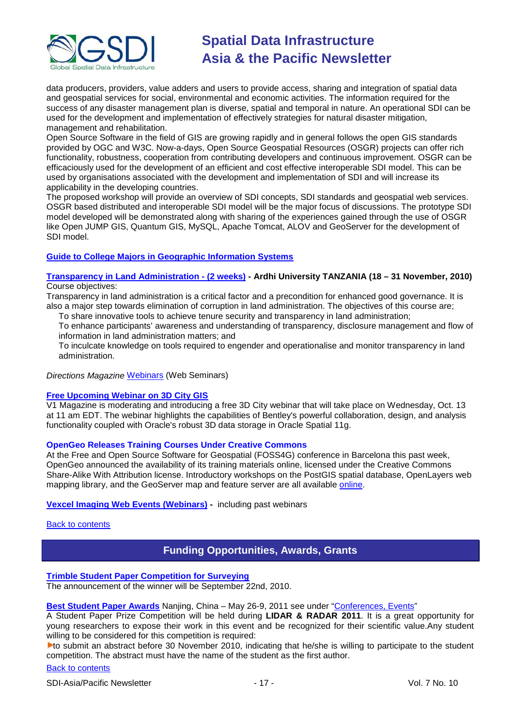

data producers, providers, value adders and users to provide access, sharing and integration of spatial data and geospatial services for social, environmental and economic activities. The information required for the success of any disaster management plan is diverse, spatial and temporal in nature. An operational SDI can be used for the development and implementation of effectively strategies for natural disaster mitigation, management and rehabilitation.

Open Source Software in the field of GIS are growing rapidly and in general follows the open GIS standards provided by OGC and W3C. Now-a-days, Open Source Geospatial Resources (OSGR) projects can offer rich functionality, robustness, cooperation from contributing developers and continuous improvement. OSGR can be efficaciously used for the development of an efficient and cost effective interoperable SDI model. This can be used by organisations associated with the development and implementation of SDI and will increase its applicability in the developing countries.

The proposed workshop will provide an overview of SDI concepts, SDI standards and geospatial web services. OSGR based distributed and interoperable SDI model will be the major focus of discussions. The prototype SDI model developed will be demonstrated along with sharing of the experiences gained through the use of OSGR like Open JUMP GIS, Quantum GIS, MySQL, Apache Tomcat, ALOV and GeoServer for the development of SDI model.

# **[Guide to College Majors in Geographic Information Systems](http://www.worldwidelearn.com/online-education-guide/science/gis-major.htm)**

## **[Transparency in Land](http://www.aru.ac.tz/page.php?id=136) Administration - (2 weeks) - Ardhi University TANZANIA (18 – 31 November, 2010)** Course objectives:

Transparency in land administration is a critical factor and a precondition for enhanced good governance. It is also a major step towards elimination of corruption in land administration. The objectives of this course are;

To share innovative tools to achieve tenure security and transparency in land administration;

To enhance participants' awareness and understanding of transparency, disclosure management and flow of information in land administration matters; and

To inculcate knowledge on tools required to engender and operationalise and monitor transparency in land administration.

*Directions Magazine* [Webinars](http://www.directionsmag.com/webinars/) (Web Seminars)

# **[Free Upcoming Webinar on 3D City GIS](http://asmmag.com/news/free-upcoming-webinar-on-3d-city-gis)**

V1 Magazine is moderating and introducing a free 3D City webinar that will take place on Wednesday, Oct. 13 at 11 am EDT. The webinar highlights the capabilities of Bentley's powerful collaboration, design, and analysis functionality coupled with Oracle's robust 3D data storage in Oracle Spatial 11g.

# **OpenGeo Releases Training Courses Under Creative Commons**

At the Free and Open Source Software for Geospatial (FOSS4G) conference in Barcelona this past week, OpenGeo announced the availability of its training materials online, licensed under the Creative Commons Share-Alike With Attribution license. Introductory workshops on the PostGIS spatial database, OpenLayers web mapping library, and the GeoServer map and feature server are all available [online.](http://www.workshops.opengeo.org/)

**[Vexcel Imaging Web Events](http://www.microsoft.com/ultracam/en-us/WebEvents.aspx) (Webinars) -** including past webinars

<span id="page-16-0"></span>[Back to contents](#page-0-0)

# **Funding Opportunities, Awards, Grants**

**[Trimble Student Paper Competition for Surveying](http://www.trimbledimensions.com/StudentPaperPromotion/default.aspx)**

The announcement of the winner will be September 22nd, 2010.

**Best Student Paper Awards** Nanjing, China – May 26-9, 2011 see under ["Conferences, Events"](#page-19-1)

A Student Paper Prize Competition will be held during **LIDAR & RADAR 2011**. It is a great opportunity for young researchers to expose their work in this event and be recognized for their scientific value.Any student willing to be considered for this competition is required:

**L** to submit an abstract before 30 November 2010, indicating that he/she is willing to participate to the student competition. The abstract must have the name of the student as the first author.

# [Back to contents](#page-0-0)

SDI-Asia/Pacific Newsletter  $17 - 17 - 17$  - 17 - Vol. 7 No. 10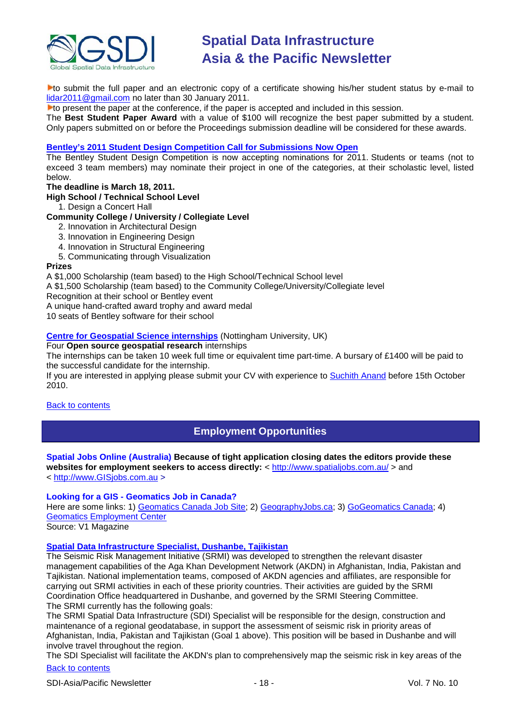

to submit the full paper and an electronic copy of a certificate showing his/her student status by e-mail to [lidar2011@gmail.com](mailto:lidar2011@gmail.com) no later than 30 January 2011.

**Lo** present the paper at the conference, if the paper is accepted and included in this session.

The **Best Student Paper Award** with a value of \$100 will recognize the best paper submitted by a student. Only papers submitted on or before the Proceedings submission deadline will be considered for these awards.

# **[Bentley's 2011 Student Design Competition Call for Submissions Now Open](http://www.bentley.com/en-US/Corporate/News/Quarter+3/2011+Submissions.htm?BI=homepage&v=news+submissions)**

The Bentley Student Design Competition is now accepting nominations for 2011. Students or teams (not to exceed 3 team members) may nominate their project in one of the categories, at their scholastic level, listed below.

# **The deadline is March 18, 2011.**

- **High School / Technical School Level**
- 1. Design a Concert Hall

# **Community College / University / Collegiate Level**

- 2. Innovation in Architectural Design
- 3. Innovation in Engineering Design
- 4. Innovation in Structural Engineering
- 5. Communicating through Visualization

#### **Prizes**

A \$1,000 Scholarship (team based) to the High School/Technical School level

A \$1,500 Scholarship (team based) to the Community College/University/Collegiate level

Recognition at their school or Bentley event

A unique hand-crafted award trophy and award medal

10 seats of Bentley software for their school

# **[Centre for Geospatial Science internships](http://www.nottingham.ac.uk/cgs/news/internships.aspx)** (Nottingham University, UK)

# Four **Open source geospatial research** internships

The internships can be taken 10 week full time or equivalent time part-time. A bursary of £1400 will be paid to the successful candidate for the internship.

If you are interested in applying please submit your CV with experience to [Suchith Anand](mailto:Suchith.Anand@nottingham.ac.uk) before 15th October 2010.

#### <span id="page-17-0"></span>[Back to contents](#page-0-0)

# **Employment Opportunities**

#### **Spatial Jobs Online (Australia) Because of tight application closing dates the editors provide these**  websites for employment seekers to access directly: <<http://www.spatialjobs.com.au/> > and

< [http://www.GISjobs.com.au](http://www.gisjobs.com.au/) >

#### **Looking for a GIS - Geomatics Job in Canada?**

Here are some links: 1) [Geomatics Canada Job Site;](http://geomaticscanada.com/jobs.cfm) 2) [GeographyJobs.ca;](http://www.geographyjobs.ca/) 3) [GoGeomatics Canada;](http://canada.gogeomatics.net/frmHome.aspx) 4) [Geomatics Employment Center](http://gisjobs.ca/)

Source: V1 Magazine

#### **[Spatial Data Infrastructure Specialist, Dushanbe, Tajikistan](http://sh.webhire.com/servlet/av/jd?ai=736&ji=2479954&sn=I)**

The Seismic Risk Management Initiative (SRMI) was developed to strengthen the relevant disaster management capabilities of the Aga Khan Development Network (AKDN) in Afghanistan, India, Pakistan and Tajikistan. National implementation teams, composed of AKDN agencies and affiliates, are responsible for carrying out SRMI activities in each of these priority countries. Their activities are guided by the SRMI Coordination Office headquartered in Dushanbe, and governed by the SRMI Steering Committee. The SRMI currently has the following goals:

The SRMI Spatial Data Infrastructure (SDI) Specialist will be responsible for the design, construction and maintenance of a regional geodatabase, in support the assessment of seismic risk in priority areas of Afghanistan, India, Pakistan and Tajikistan (Goal 1 above). This position will be based in Dushanbe and will involve travel throughout the region.

[Back to contents](#page-0-0) The SDI Specialist will facilitate the AKDN's plan to comprehensively map the seismic risk in key areas of the

#### SDI-Asia/Pacific Newsletter  $\sim$  18 - 18 - Vol. 7 No. 10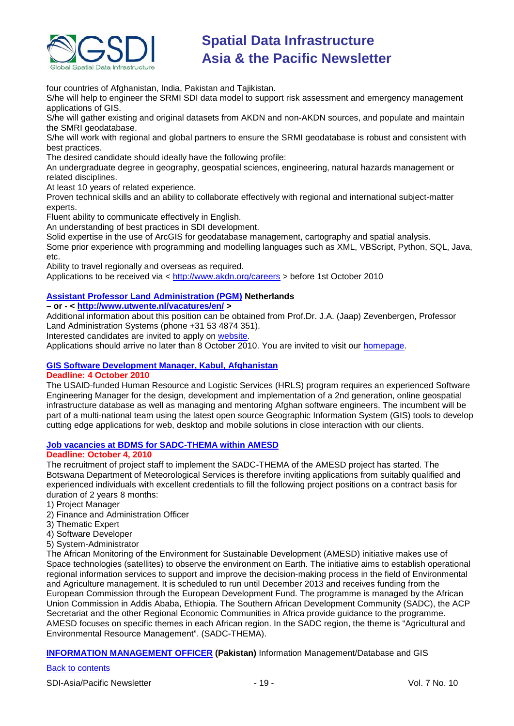

four countries of Afghanistan, India, Pakistan and Tajikistan.

S/he will help to engineer the SRMI SDI data model to support risk assessment and emergency management applications of GIS.

S/he will gather existing and original datasets from AKDN and non-AKDN sources, and populate and maintain the SMRI geodatabase.

S/he will work with regional and global partners to ensure the SRMI geodatabase is robust and consistent with best practices.

The desired candidate should ideally have the following profile:

An undergraduate degree in geography, geospatial sciences, engineering, natural hazards management or related disciplines.

At least 10 years of related experience.

Proven technical skills and an ability to collaborate effectively with regional and international subject-matter experts.

Fluent ability to communicate effectively in English.

An understanding of best practices in SDI development.

Solid expertise in the use of ArcGIS for geodatabase management, cartography and spatial analysis.

Some prior experience with programming and modelling languages such as XML, VBScript, Python, SQL, Java, etc.

Ability to travel regionally and overseas as required.

Applications to be received via <<http://www.akdn.org/careers> > before 1st October 2010

# **[Assistant Professor Land Administration \(PGM\)](https://docs.google.com/viewer?a=v&pid=gmail&attid=0.1&thid=12b1fcd0aaf4f459&mt=application/msword&url=https://mail.google.com/mail/?ui%3D2%26ik%3Dbf32a9097f%26view%3Datt%26th%3D12b1fcd0aaf4f459%26attid%3D0.1%26disp%3Dattd%26zw&sig=AHIEtbTvbZnwTNmht-GL9ynr) Netherlands**

**– or - <<http://www.utwente.nl/vacatures/en/> >**

Additional information about this position can be obtained from Prof.Dr. J.A. (Jaap) Zevenbergen, Professor Land Administration Systems (phone +31 53 4874 351).

Interested candidates are invited to apply on [website.](http://www.utwente.nl/vacatures)

Applications should arrive no later than 8 October 2010. You are invited to visit our [homepage.](http://www.itc.nl/PUB/research/Research-themes/LA)

# **[GIS Software Development Manager, Kabul, Afghanistan](http://www.reliefweb.int/rw/res.nsf/db900SID/OCHA-882AQE?OpenDocument)**

#### **Deadline: 4 October 2010**

The USAID-funded Human Resource and Logistic Services (HRLS) program requires an experienced Software Engineering Manager for the design, development and implementation of a 2nd generation, online geospatial infrastructure database as well as managing and mentoring Afghan software engineers. The incumbent will be part of a multi-national team using the latest open source Geographic Information System (GIS) tools to develop cutting edge applications for web, desktop and mobile solutions in close interaction with our clients.

### **[Job vacancies at BDMS for SADC-THEMA within AMESD](https://docs.google.com/fileview?id=0B54fp0qBq-A5YWQ3MGYyYTMtZDE1MS00YjgwLWFkZGUtODYwYjRkN2M5ZjIz&hl=en_GB)**

#### **Deadline: October 4, 2010**

The recruitment of project staff to implement the SADC-THEMA of the AMESD project has started. The Botswana Department of Meteorological Services is therefore inviting applications from suitably qualified and experienced individuals with excellent credentials to fill the following project positions on a contract basis for duration of 2 years 8 months:

- 1) Project Manager
- 2) Finance and Administration Officer
- 3) Thematic Expert
- 4) Software Developer
- 5) System-Administrator

The African Monitoring of the Environment for Sustainable Development (AMESD) initiative makes use of Space technologies (satellites) to observe the environment on Earth. The initiative aims to establish operational regional information services to support and improve the decision-making process in the field of Environmental and Agriculture management. It is scheduled to run until December 2013 and receives funding from the European Commission through the European Development Fund. The programme is managed by the African Union Commission in Addis Ababa, Ethiopia. The Southern African Development Community (SADC), the ACP Secretariat and the other Regional Economic Communities in Africa provide guidance to the programme. AMESD focuses on specific themes in each African region. In the SADC region, the theme is "Agricultural and Environmental Resource Management". (SADC-THEMA).

# **[INFORMATION MANAGEMENT OFFICER](http://www.reliefweb.int/rw/res.nsf/db900sid/OCHA-89L3A9?OpenDocument&cc=pak) (Pakistan)** Information Management/Database and GIS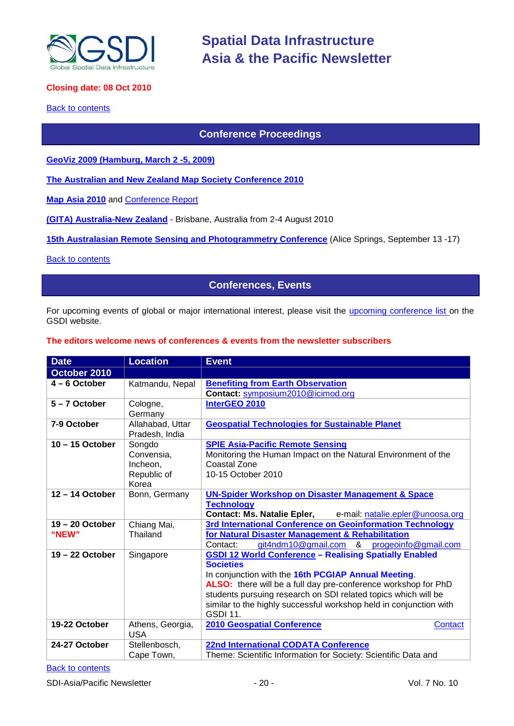

# **Closing date: 08 Oct 2010**

<span id="page-19-0"></span>**[Back to contents](#page-0-0)** 

# **Conference Proceedings**

**[GeoViz 2009 \(Hamburg, March 2 -5, 2009\)](http://www.geovisualisierung.net/geoviz_hamburg/geovizhh_program.htm)**

**[The Australian and New Zealand Map Society Conference 2010](http://blogs.slq.qld.gov.au/jol/2010/05/14/the-australian-and-new-zealand-map-society-conference-2010/)**

**[Map Asia 2010](http://mapasia.org/2010/proceeding/index.htm)** and [Conference Report](http://mapasia.org/2010/mapasia2010report.pdf)

**[\(GITA\) Australia-New Zealand](http://www.gisdevelopment.net/magazine/global/2010/september/50-Understanding-users-Key-to-successful-implementation.htm)** - Brisbane, Australia from 2-4 August 2010

**[15th Australasian Remote Sensing and Photogrammetry Conference](http://www.15.arspc.com/proceedings)** (Alice Springs, September 13 -17)

<span id="page-19-1"></span>**[Back to contents](#page-0-0)** 

**Conferences, Events**

For upcoming events of global or major international interest, please visit the [upcoming conference list o](http://gsdi.org/events/upcnf.asp)n the GSDI website.

### **The editors welcome news of conferences & events from the newsletter subscribers**

| <b>Date</b>                | <b>Location</b>                                          | <b>Event</b>                                                                                                                                                                                                                                                                                                                                                          |
|----------------------------|----------------------------------------------------------|-----------------------------------------------------------------------------------------------------------------------------------------------------------------------------------------------------------------------------------------------------------------------------------------------------------------------------------------------------------------------|
| October 2010               |                                                          |                                                                                                                                                                                                                                                                                                                                                                       |
| $4 - 6$ October            | Katmandu, Nepal                                          | <b>Benefiting from Earth Observation</b><br>Contact: symposium2010@icimod.org                                                                                                                                                                                                                                                                                         |
| 5-7 October                | Cologne,<br>Germany                                      | InterGEO 2010                                                                                                                                                                                                                                                                                                                                                         |
| 7-9 October                | Allahabad, Uttar<br>Pradesh, India                       | <b>Geospatial Technologies for Sustainable Planet</b>                                                                                                                                                                                                                                                                                                                 |
| $10 - 15$ October          | Songdo<br>Convensia,<br>Incheon,<br>Republic of<br>Korea | <b>SPIE Asia-Pacific Remote Sensing</b><br>Monitoring the Human Impact on the Natural Environment of the<br><b>Coastal Zone</b><br>10-15 October 2010                                                                                                                                                                                                                 |
| 12 - 14 October            | Bonn, Germany                                            | <b>UN-Spider Workshop on Disaster Management &amp; Space</b><br><b>Technology</b><br><b>Contact: Ms. Natalie Epler,</b><br>e-mail: natalie.epler@unoosa.org                                                                                                                                                                                                           |
| $19 - 20$ October<br>"NEW" | Chiang Mai,<br>Thailand                                  | 3rd International Conference on Geoinformation Technology<br>for Natural Disaster Management & Rehabilitation<br>git4ndm10@gmail.com &<br>Contact:<br>progeoinfo@gmail.com                                                                                                                                                                                            |
| $19 - 22$ October          | Singapore                                                | <b>GSDI 12 World Conference - Realising Spatially Enabled</b><br><b>Societies</b><br>In conjunction with the 16th PCGIAP Annual Meeting.<br>ALSO: there will be a full day pre-conference workshop for PhD<br>students pursuing research on SDI related topics which will be<br>similar to the highly successful workshop held in conjunction with<br><b>GSDI 11.</b> |
| 19-22 October              | Athens, Georgia,<br><b>USA</b>                           | <b>2010 Geospatial Conference</b><br>Contact                                                                                                                                                                                                                                                                                                                          |
| 24-27 October              | Stellenbosch,<br>Cape Town,                              | 22nd International CODATA Conference<br>Theme: Scientific Information for Society: Scientific Data and                                                                                                                                                                                                                                                                |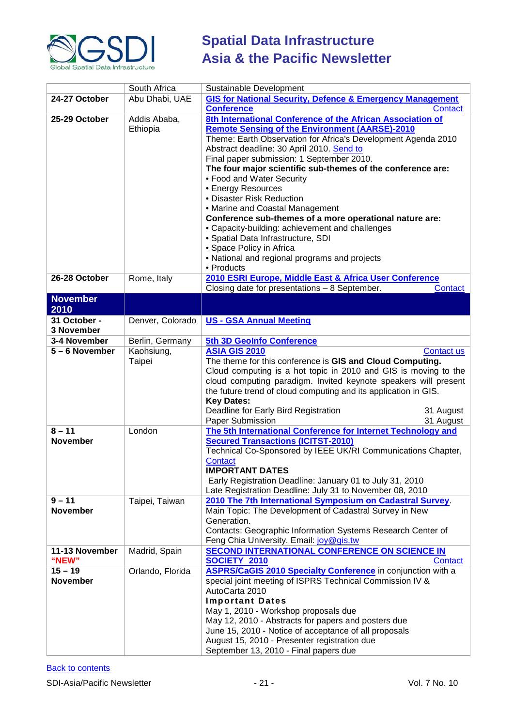

|                 | South Africa     | Sustainable Development                                              |
|-----------------|------------------|----------------------------------------------------------------------|
| 24-27 October   | Abu Dhabi, UAE   | <b>GIS for National Security, Defence &amp; Emergency Management</b> |
|                 |                  | <b>Conference</b><br>Contact                                         |
| 25-29 October   | Addis Ababa,     | 8th International Conference of the African Association of           |
|                 | Ethiopia         | <b>Remote Sensing of the Environment (AARSE)-2010</b>                |
|                 |                  | Theme: Earth Observation for Africa's Development Agenda 2010        |
|                 |                  | Abstract deadline: 30 April 2010. Send to                            |
|                 |                  | Final paper submission: 1 September 2010.                            |
|                 |                  | The four major scientific sub-themes of the conference are:          |
|                 |                  | • Food and Water Security                                            |
|                 |                  | • Energy Resources                                                   |
|                 |                  | • Disaster Risk Reduction                                            |
|                 |                  |                                                                      |
|                 |                  | • Marine and Coastal Management                                      |
|                 |                  | Conference sub-themes of a more operational nature are:              |
|                 |                  | • Capacity-building: achievement and challenges                      |
|                 |                  | · Spatial Data Infrastructure, SDI                                   |
|                 |                  | • Space Policy in Africa                                             |
|                 |                  | • National and regional programs and projects                        |
|                 |                  | • Products                                                           |
| 26-28 October   | Rome, Italy      | 2010 ESRI Europe, Middle East & Africa User Conference               |
|                 |                  | Closing date for presentations - 8 September.<br>Contact             |
| <b>November</b> |                  |                                                                      |
| 2010            |                  |                                                                      |
| 31 October -    | Denver, Colorado | <b>US - GSA Annual Meeting</b>                                       |
| 3 November      |                  |                                                                      |
| 3-4 November    | Berlin, Germany  | 5th 3D GeoInfo Conference                                            |
| 5-6 November    | Kaohsiung,       | <b>ASIA GIS 2010</b><br><b>Contact us</b>                            |
|                 | Taipei           | The theme for this conference is GIS and Cloud Computing.            |
|                 |                  | Cloud computing is a hot topic in 2010 and GIS is moving to the      |
|                 |                  | cloud computing paradigm. Invited keynote speakers will present      |
|                 |                  | the future trend of cloud computing and its application in GIS.      |
|                 |                  | <b>Key Dates:</b>                                                    |
|                 |                  | Deadline for Early Bird Registration<br>31 August                    |
|                 |                  | Paper Submission<br>31 August                                        |
| $8 - 11$        | London           | The 5th International Conference for Internet Technology and         |
| <b>November</b> |                  | <b>Secured Transactions (ICITST-2010)</b>                            |
|                 |                  | Technical Co-Sponsored by IEEE UK/RI Communications Chapter,         |
|                 |                  | Contact                                                              |
|                 |                  | <b>IMPORTANT DATES</b>                                               |
|                 |                  | Early Registration Deadline: January 01 to July 31, 2010             |
|                 |                  | Late Registration Deadline: July 31 to November 08, 2010             |
| $9 - 11$        | Taipei, Taiwan   | 2010 The 7th International Symposium on Cadastral Survey.            |
| <b>November</b> |                  | Main Topic: The Development of Cadastral Survey in New               |
|                 |                  | Generation.                                                          |
|                 |                  | Contacts: Geographic Information Systems Research Center of          |
|                 |                  | Feng Chia University. Email: joy@gis.tw                              |
| 11-13 November  | Madrid, Spain    | <b>SECOND INTERNATIONAL CONFERENCE ON SCIENCE IN</b>                 |
| "NEW"           |                  | SOCIETY 2010<br>Contact                                              |
| $15 - 19$       | Orlando, Florida | <b>ASPRS/CaGIS 2010 Specialty Conference</b> in conjunction with a   |
| <b>November</b> |                  | special joint meeting of ISPRS Technical Commission IV &             |
|                 |                  | AutoCarta 2010                                                       |
|                 |                  | <b>Important Dates</b>                                               |
|                 |                  | May 1, 2010 - Workshop proposals due                                 |
|                 |                  | May 12, 2010 - Abstracts for papers and posters due                  |
|                 |                  | June 15, 2010 - Notice of acceptance of all proposals                |
|                 |                  | August 15, 2010 - Presenter registration due                         |
|                 |                  | September 13, 2010 - Final papers due                                |
|                 |                  |                                                                      |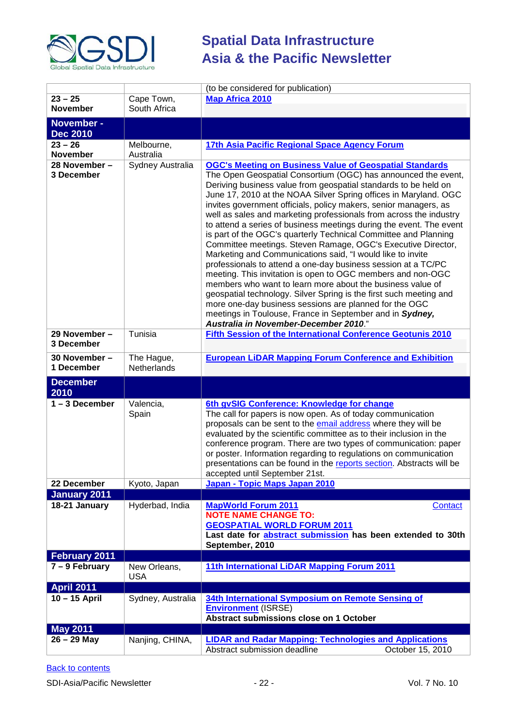

|                               |                            | (to be considered for publication)                                                                                                                                                                                                                                                                                                                                                                                                                                                                                                                                                                                                                                                                                                                                                                                                                                                                                                                                                                                                                                                                                          |
|-------------------------------|----------------------------|-----------------------------------------------------------------------------------------------------------------------------------------------------------------------------------------------------------------------------------------------------------------------------------------------------------------------------------------------------------------------------------------------------------------------------------------------------------------------------------------------------------------------------------------------------------------------------------------------------------------------------------------------------------------------------------------------------------------------------------------------------------------------------------------------------------------------------------------------------------------------------------------------------------------------------------------------------------------------------------------------------------------------------------------------------------------------------------------------------------------------------|
| $23 - 25$                     | Cape Town,                 | <b>Map Africa 2010</b>                                                                                                                                                                                                                                                                                                                                                                                                                                                                                                                                                                                                                                                                                                                                                                                                                                                                                                                                                                                                                                                                                                      |
| <b>November</b>               | South Africa               |                                                                                                                                                                                                                                                                                                                                                                                                                                                                                                                                                                                                                                                                                                                                                                                                                                                                                                                                                                                                                                                                                                                             |
| November -<br><b>Dec 2010</b> |                            |                                                                                                                                                                                                                                                                                                                                                                                                                                                                                                                                                                                                                                                                                                                                                                                                                                                                                                                                                                                                                                                                                                                             |
| $23 - 26$<br><b>November</b>  | Melbourne,<br>Australia    | 17th Asia Pacific Regional Space Agency Forum                                                                                                                                                                                                                                                                                                                                                                                                                                                                                                                                                                                                                                                                                                                                                                                                                                                                                                                                                                                                                                                                               |
| 28 November -<br>3 December   | Sydney Australia           | <b>OGC's Meeting on Business Value of Geospatial Standards</b><br>The Open Geospatial Consortium (OGC) has announced the event,<br>Deriving business value from geospatial standards to be held on<br>June 17, 2010 at the NOAA Silver Spring offices in Maryland. OGC<br>invites government officials, policy makers, senior managers, as<br>well as sales and marketing professionals from across the industry<br>to attend a series of business meetings during the event. The event<br>is part of the OGC's quarterly Technical Committee and Planning<br>Committee meetings. Steven Ramage, OGC's Executive Director,<br>Marketing and Communications said, "I would like to invite<br>professionals to attend a one-day business session at a TC/PC<br>meeting. This invitation is open to OGC members and non-OGC<br>members who want to learn more about the business value of<br>geospatial technology. Silver Spring is the first such meeting and<br>more one-day business sessions are planned for the OGC<br>meetings in Toulouse, France in September and in Sydney,<br>Australia in November-December 2010." |
| 29 November -<br>3 December   | Tunisia                    | <b>Fifth Session of the International Conference Geotunis 2010</b>                                                                                                                                                                                                                                                                                                                                                                                                                                                                                                                                                                                                                                                                                                                                                                                                                                                                                                                                                                                                                                                          |
| 30 November -<br>1 December   | The Hague,<br>Netherlands  | <b>European LiDAR Mapping Forum Conference and Exhibition</b>                                                                                                                                                                                                                                                                                                                                                                                                                                                                                                                                                                                                                                                                                                                                                                                                                                                                                                                                                                                                                                                               |
| <b>December</b><br>2010       |                            |                                                                                                                                                                                                                                                                                                                                                                                                                                                                                                                                                                                                                                                                                                                                                                                                                                                                                                                                                                                                                                                                                                                             |
| $1 - 3$ December              | Valencia,<br>Spain         | 6th gvSIG Conference: Knowledge for change<br>The call for papers is now open. As of today communication<br>proposals can be sent to the <b>email address</b> where they will be<br>evaluated by the scientific committee as to their inclusion in the<br>conference program. There are two types of communication: paper<br>or poster. Information regarding to regulations on communication<br>presentations can be found in the reports section. Abstracts will be<br>accepted until September 21st.                                                                                                                                                                                                                                                                                                                                                                                                                                                                                                                                                                                                                     |
| 22 December                   | Kyoto, Japan               | Japan - Topic Maps Japan 2010                                                                                                                                                                                                                                                                                                                                                                                                                                                                                                                                                                                                                                                                                                                                                                                                                                                                                                                                                                                                                                                                                               |
| <b>January 2011</b>           |                            |                                                                                                                                                                                                                                                                                                                                                                                                                                                                                                                                                                                                                                                                                                                                                                                                                                                                                                                                                                                                                                                                                                                             |
| 18-21 January                 | Hyderbad, India            | <b>MapWorld Forum 2011</b><br>Contact<br><b>NOTE NAME CHANGE TO:</b><br><b>GEOSPATIAL WORLD FORUM 2011</b><br>Last date for <b>abstract submission</b> has been extended to 30th<br>September, 2010                                                                                                                                                                                                                                                                                                                                                                                                                                                                                                                                                                                                                                                                                                                                                                                                                                                                                                                         |
| <b>February 2011</b>          |                            |                                                                                                                                                                                                                                                                                                                                                                                                                                                                                                                                                                                                                                                                                                                                                                                                                                                                                                                                                                                                                                                                                                                             |
| $7 - 9$ February              | New Orleans,<br><b>USA</b> | 11th International LiDAR Mapping Forum 2011                                                                                                                                                                                                                                                                                                                                                                                                                                                                                                                                                                                                                                                                                                                                                                                                                                                                                                                                                                                                                                                                                 |
| <b>April 2011</b>             |                            |                                                                                                                                                                                                                                                                                                                                                                                                                                                                                                                                                                                                                                                                                                                                                                                                                                                                                                                                                                                                                                                                                                                             |
| 10 - 15 April                 | Sydney, Australia          | 34th International Symposium on Remote Sensing of<br><b>Environment (ISRSE)</b><br>Abstract submissions close on 1 October                                                                                                                                                                                                                                                                                                                                                                                                                                                                                                                                                                                                                                                                                                                                                                                                                                                                                                                                                                                                  |
| <b>May 2011</b>               |                            |                                                                                                                                                                                                                                                                                                                                                                                                                                                                                                                                                                                                                                                                                                                                                                                                                                                                                                                                                                                                                                                                                                                             |
| $26 - 29$ May                 | Nanjing, CHINA,            | <b>LIDAR and Radar Mapping: Technologies and Applications</b><br>Abstract submission deadline<br>October 15, 2010                                                                                                                                                                                                                                                                                                                                                                                                                                                                                                                                                                                                                                                                                                                                                                                                                                                                                                                                                                                                           |